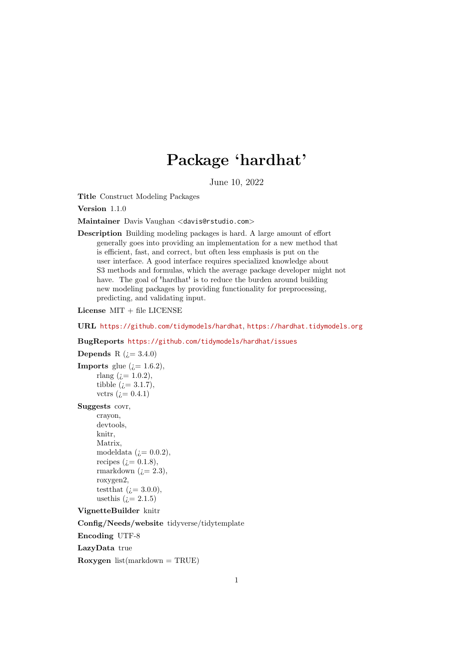# Package 'hardhat'

June 10, 2022

<span id="page-0-0"></span>Title Construct Modeling Packages

Version 1.1.0

Maintainer Davis Vaughan <davis@rstudio.com>

Description Building modeling packages is hard. A large amount of effort generally goes into providing an implementation for a new method that is efficient, fast, and correct, but often less emphasis is put on the user interface. A good interface requires specialized knowledge about S3 methods and formulas, which the average package developer might not have. The goal of 'hardhat' is to reduce the burden around building new modeling packages by providing functionality for preprocessing, predicting, and validating input.

License MIT + file LICENSE

URL <https://github.com/tidymodels/hardhat>, <https://hardhat.tidymodels.org>

### BugReports <https://github.com/tidymodels/hardhat/issues>

### **Depends** R  $(i=3.4.0)$

```
Imports glue (i=1.6.2),
     rlang (i = 1.0.2),
     tibble (i=3.1.7),
     vctrs (i = 0.4.1)
```
### Suggests covr,

crayon, devtools, knitr, Matrix, modeldata  $(i=0.0.2)$ , recipes  $(i=0.1.8)$ , rmarkdown  $(i=2.3)$ , roxygen2, testthat  $(i=3.0.0)$ , usethis  $(i=2.1.5)$ 

#### VignetteBuilder knitr

Config/Needs/website tidyverse/tidytemplate

Encoding UTF-8

LazyData true

Roxygen  $list(maxkdown = TRUE)$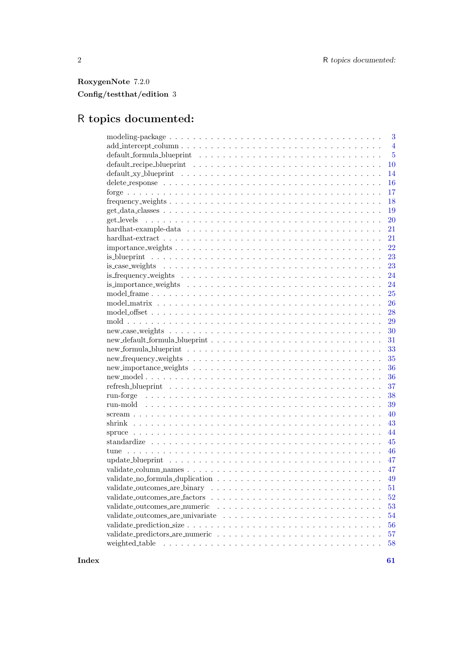## RoxygenNote 7.2.0 Config/testthat/edition 3

# R topics documented:

| $\overline{4}$<br>default_formula_blueprint \\omega_ \\omega_ \\omega_ \\omega_ \\omega_ \\omega_ \\omega_ \\omega_ \\omega_ \\omega_ \\omega_ \\omega_ \\omega_ \\omega_ \\omega_ \\omega_ \\omega_ \\omega_ \\omega_ \\omega_ \\omega_ \\omega<br>$\overline{5}$<br><b>10</b><br>14<br>16<br>17<br>18<br>19<br><b>20</b><br>21<br>21<br>22<br>23<br>23<br>24<br>24<br>25<br><b>26</b><br>28<br>29<br>30 |
|-----------------------------------------------------------------------------------------------------------------------------------------------------------------------------------------------------------------------------------------------------------------------------------------------------------------------------------------------------------------------------------------------------------|
|                                                                                                                                                                                                                                                                                                                                                                                                           |
|                                                                                                                                                                                                                                                                                                                                                                                                           |
|                                                                                                                                                                                                                                                                                                                                                                                                           |
|                                                                                                                                                                                                                                                                                                                                                                                                           |
|                                                                                                                                                                                                                                                                                                                                                                                                           |
|                                                                                                                                                                                                                                                                                                                                                                                                           |
|                                                                                                                                                                                                                                                                                                                                                                                                           |
|                                                                                                                                                                                                                                                                                                                                                                                                           |
|                                                                                                                                                                                                                                                                                                                                                                                                           |
|                                                                                                                                                                                                                                                                                                                                                                                                           |
|                                                                                                                                                                                                                                                                                                                                                                                                           |
|                                                                                                                                                                                                                                                                                                                                                                                                           |
|                                                                                                                                                                                                                                                                                                                                                                                                           |
|                                                                                                                                                                                                                                                                                                                                                                                                           |
|                                                                                                                                                                                                                                                                                                                                                                                                           |
|                                                                                                                                                                                                                                                                                                                                                                                                           |
|                                                                                                                                                                                                                                                                                                                                                                                                           |
|                                                                                                                                                                                                                                                                                                                                                                                                           |
|                                                                                                                                                                                                                                                                                                                                                                                                           |
|                                                                                                                                                                                                                                                                                                                                                                                                           |
|                                                                                                                                                                                                                                                                                                                                                                                                           |
| 31                                                                                                                                                                                                                                                                                                                                                                                                        |
| 33                                                                                                                                                                                                                                                                                                                                                                                                        |
| 35                                                                                                                                                                                                                                                                                                                                                                                                        |
| 36                                                                                                                                                                                                                                                                                                                                                                                                        |
| 36                                                                                                                                                                                                                                                                                                                                                                                                        |
| 37                                                                                                                                                                                                                                                                                                                                                                                                        |
| 38                                                                                                                                                                                                                                                                                                                                                                                                        |
| 39                                                                                                                                                                                                                                                                                                                                                                                                        |
| 40                                                                                                                                                                                                                                                                                                                                                                                                        |
| 43                                                                                                                                                                                                                                                                                                                                                                                                        |
| 44                                                                                                                                                                                                                                                                                                                                                                                                        |
| 45                                                                                                                                                                                                                                                                                                                                                                                                        |
| 46                                                                                                                                                                                                                                                                                                                                                                                                        |
| 47                                                                                                                                                                                                                                                                                                                                                                                                        |
| 47                                                                                                                                                                                                                                                                                                                                                                                                        |
| 49                                                                                                                                                                                                                                                                                                                                                                                                        |
| 51                                                                                                                                                                                                                                                                                                                                                                                                        |
| 52                                                                                                                                                                                                                                                                                                                                                                                                        |
| 53                                                                                                                                                                                                                                                                                                                                                                                                        |
| 54                                                                                                                                                                                                                                                                                                                                                                                                        |
| 56                                                                                                                                                                                                                                                                                                                                                                                                        |
| 57                                                                                                                                                                                                                                                                                                                                                                                                        |
| 58                                                                                                                                                                                                                                                                                                                                                                                                        |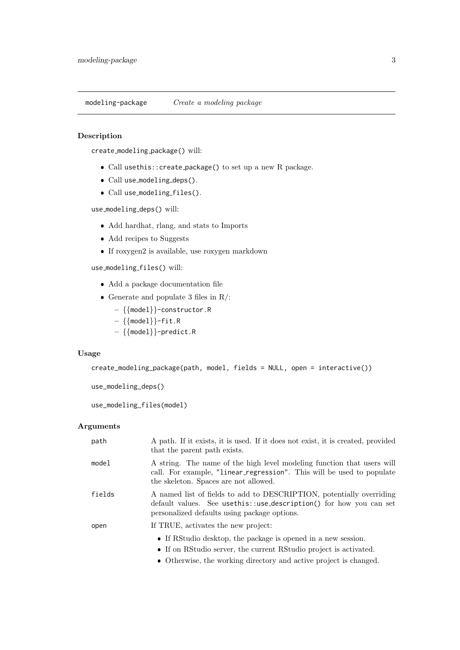<span id="page-2-0"></span>modeling-package Create a modeling package

### Description

create modeling package() will:

- Call usethis::create package() to set up a new R package.
- Call use\_modeling\_deps().
- Call use\_modeling\_files().

use modeling deps() will:

- Add hardhat, rlang, and stats to Imports
- Add recipes to Suggests
- $\bullet\,$  If roxygen2 is available, use roxygen markdown

### use modeling files() will:

- Add a package documentation file
- Generate and populate 3 files in  $R/$ :
	- {{model}}-constructor.R
	- $\{ \{\text{model}\} \}$ -fit.R
	- {{model}}-predict.R

### Usage

```
create_modeling_package(path, model, fields = NULL, open = interactive())
```

```
use_modeling_deps()
```
use\_modeling\_files(model)

### Arguments

| path   | A path. If it exists, it is used. If it does not exist, it is created, provided<br>that the parent path exists.                                                                              |
|--------|----------------------------------------------------------------------------------------------------------------------------------------------------------------------------------------------|
| model  | A string. The name of the high level modeling function that users will<br>call. For example, "linear_regression". This will be used to populate<br>the skeleton. Spaces are not allowed.     |
| fields | A named list of fields to add to DESCRIPTION, potentially overriding<br>default values. See usethis: : use_description() for how you can set<br>personalized defaults using package options. |
| open   | If TRUE, activates the new project:                                                                                                                                                          |
|        | • If RStudio desktop, the package is opened in a new session.                                                                                                                                |
|        | • If on RStudio server, the current RStudio project is activated.                                                                                                                            |
|        | • Otherwise, the working directory and active project is changed.                                                                                                                            |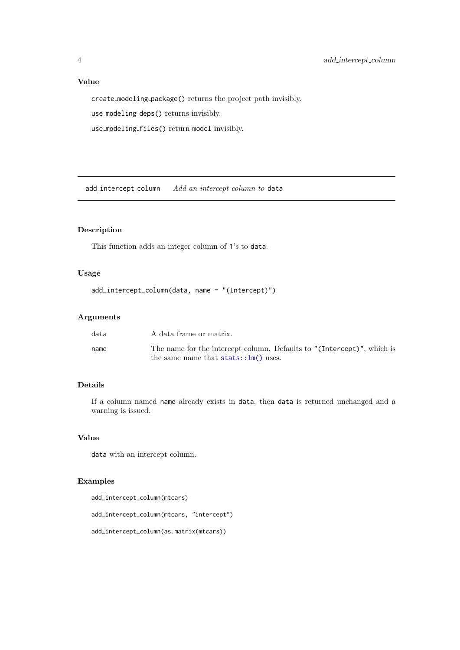### Value

create modeling package() returns the project path invisibly.

use modeling deps() returns invisibly.

use modeling files() return model invisibly.

add\_intercept\_column Add an intercept column to data

### Description

This function adds an integer column of 1's to data.

### Usage

```
add_intercept_column(data, name = "(Intercept)")
```
### Arguments

| data | A data frame or matrix.                                                                                          |
|------|------------------------------------------------------------------------------------------------------------------|
| name | The name for the intercept column. Defaults to "(Intercept)", which is<br>the same name that $stats::lm()$ uses. |

### Details

If a column named name already exists in data, then data is returned unchanged and a warning is issued.

### Value

data with an intercept column.

### Examples

add\_intercept\_column(mtcars)

add\_intercept\_column(mtcars, "intercept")

add\_intercept\_column(as.matrix(mtcars))

<span id="page-3-0"></span>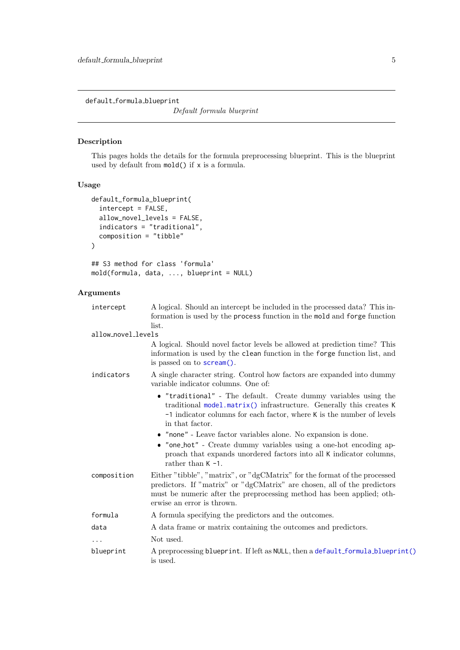<span id="page-4-1"></span><span id="page-4-0"></span>default formula blueprint

Default formula blueprint

### Description

This pages holds the details for the formula preprocessing blueprint. This is the blueprint used by default from mold() if x is a formula.

### Usage

```
default_formula_blueprint(
  intercept = FALSE,
  allow_novel_levels = FALSE,
  indicators = "traditional",
  composition = "tibble"
\lambda## S3 method for class 'formula'
mold(formula, data, ..., blueprint = NULL)
```
### Arguments

| intercept          | A logical. Should an intercept be included in the processed data? This in-                                                                                                                                                                                                                                                                                                                                                                                                  |
|--------------------|-----------------------------------------------------------------------------------------------------------------------------------------------------------------------------------------------------------------------------------------------------------------------------------------------------------------------------------------------------------------------------------------------------------------------------------------------------------------------------|
|                    | formation is used by the process function in the mold and forge function                                                                                                                                                                                                                                                                                                                                                                                                    |
|                    | list.                                                                                                                                                                                                                                                                                                                                                                                                                                                                       |
| allow_novel_levels |                                                                                                                                                                                                                                                                                                                                                                                                                                                                             |
|                    | A logical. Should novel factor levels be allowed at prediction time? This<br>information is used by the clean function in the forge function list, and<br>is passed on to <b>scream</b> ().                                                                                                                                                                                                                                                                                 |
| indicators         | A single character string. Control how factors are expanded into dummy<br>variable indicator columns. One of:                                                                                                                                                                                                                                                                                                                                                               |
|                    | • "traditional" - The default. Create dummy variables using the<br>traditional model.matrix() infrastructure. Generally this creates K<br>$-1$ indicator columns for each factor, where K is the number of levels<br>in that factor.<br>• "none" - Leave factor variables alone. No expansion is done.<br>• "one_hot" - Create dummy variables using a one-hot encoding ap-<br>proach that expands unordered factors into all K indicator columns,<br>rather than $K - 1$ . |
| composition        | Either "tibble", "matrix", or "dgCMatrix" for the format of the processed<br>predictors. If "matrix" or "dgCMatrix" are chosen, all of the predictors<br>must be numeric after the preprocessing method has been applied; oth-<br>erwise an error is thrown.                                                                                                                                                                                                                |
| formula            | A formula specifying the predictors and the outcomes.                                                                                                                                                                                                                                                                                                                                                                                                                       |
| data               | A data frame or matrix containing the outcomes and predictors.                                                                                                                                                                                                                                                                                                                                                                                                              |
| $\cdots$           | Not used.                                                                                                                                                                                                                                                                                                                                                                                                                                                                   |
| blueprint          | A preprocessing blueprint. If left as NULL, then a default_formula_blueprint()<br>is used.                                                                                                                                                                                                                                                                                                                                                                                  |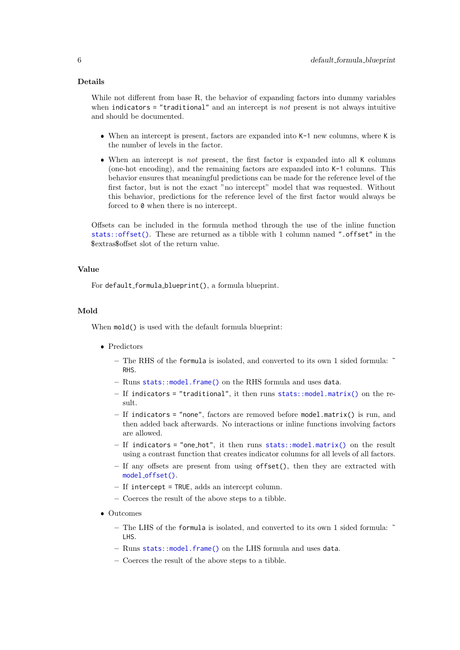#### <span id="page-5-0"></span>Details

While not different from base R, the behavior of expanding factors into dummy variables when indicators = "traditional" and an intercept is not present is not always intuitive and should be documented.

- When an intercept is present, factors are expanded into K-1 new columns, where K is the number of levels in the factor.
- When an intercept is *not* present, the first factor is expanded into all K columns (one-hot encoding), and the remaining factors are expanded into K-1 columns. This behavior ensures that meaningful predictions can be made for the reference level of the first factor, but is not the exact "no intercept" model that was requested. Without this behavior, predictions for the reference level of the first factor would always be forced to 0 when there is no intercept.

Offsets can be included in the formula method through the use of the inline function [stats::offset\(\)](#page-0-0). These are returned as a tibble with 1 column named ".offset" in the \$extras\$offset slot of the return value.

### Value

For default\_formula\_blueprint(), a formula blueprint.

### Mold

When  $mod()$  is used with the default formula blueprint:

- Predictors
	- The RHS of the formula is isolated, and converted to its own 1 sided formula: ˜ RHS.
	- Runs [stats::model.frame\(\)](#page-0-0) on the RHS formula and uses data.
	- $-$  If indicators = "traditional", it then runs [stats::model.matrix\(\)](#page-0-0) on the result.
	- If indicators = "none", factors are removed before model.matrix() is run, and then added back afterwards. No interactions or inline functions involving factors are allowed.
	- $-$  If indicators = "one\_hot", it then runs [stats::model.matrix\(\)](#page-0-0) on the result using a contrast function that creates indicator columns for all levels of all factors.
	- $-$  If any offsets are present from using offset(), then they are extracted with model [offset\(\)](#page-27-1).
	- If intercept = TRUE, adds an intercept column.
	- Coerces the result of the above steps to a tibble.
- Outcomes
	- The LHS of the formula is isolated, and converted to its own 1 sided formula: ˜ LHS.
	- Runs [stats::model.frame\(\)](#page-0-0) on the LHS formula and uses data.
	- Coerces the result of the above steps to a tibble.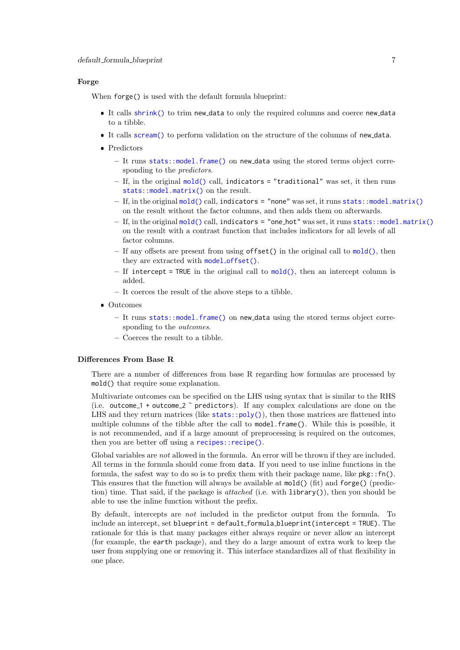#### <span id="page-6-0"></span>Forge

When forge() is used with the default formula blueprint:

- It calls [shrink\(\)](#page-42-1) to trim new data to only the required columns and coerce new data to a tibble.
- It calls [scream\(\)](#page-39-1) to perform validation on the structure of the columns of new data.
- Predictors
	- It runs [stats::model.frame\(\)](#page-0-0) on new data using the stored terms object corresponding to the *predictors*.
	- $-$  If, in the original [mold\(\)](#page-28-1) call, indicators = "traditional" was set, it then runs [stats::model.matrix\(\)](#page-0-0) on the result.
	- $-$  If, in the original [mold\(\)](#page-28-1) call, indicators = "none" was set, it runs [stats::model.matrix\(\)](#page-0-0) on the result without the factor columns, and then adds them on afterwards.
	- If, in the original [mold\(\)](#page-28-1) call, indicators = "one hot" was set, it runs [stats::model.matrix\(\)](#page-0-0) on the result with a contrast function that includes indicators for all levels of all factor columns.
	- If any offsets are present from using offset() in the original call to [mold\(\)](#page-28-1), then they are extracted with model [offset\(\)](#page-27-1).
	- $-$  If intercept = TRUE in the original call to [mold\(\)](#page-28-1), then an intercept column is added.
	- It coerces the result of the above steps to a tibble.
- Outcomes
	- It runs [stats::model.frame\(\)](#page-0-0) on new data using the stored terms object corresponding to the *outcomes*.
	- Coerces the result to a tibble.

#### Differences From Base R

There are a number of differences from base R regarding how formulas are processed by mold() that require some explanation.

Multivariate outcomes can be specified on the LHS using syntax that is similar to the RHS (i.e. outcome<sub>-1</sub> + outcome<sub>-2</sub>  $\tilde{ }$  predictors). If any complex calculations are done on the LHS and they return matrices (like stats:: $poly()$ ), then those matrices are flattened into multiple columns of the tibble after the call to model.frame(). While this is possible, it is not recommended, and if a large amount of preprocessing is required on the outcomes, then you are better off using a [recipes::recipe\(\)](#page-0-0).

Global variables are *not* allowed in the formula. An error will be thrown if they are included. All terms in the formula should come from data. If you need to use inline functions in the formula, the safest way to do so is to prefix them with their package name, like  $pkg::fn()$ . This ensures that the function will always be available at mold() (fit) and forge() (prediction) time. That said, if the package is *attached* (i.e. with  $\text{library}()$ ), then you should be able to use the inline function without the prefix.

By default, intercepts are not included in the predictor output from the formula. To include an intercept, set blueprint = default formula blueprint(intercept = TRUE). The rationale for this is that many packages either always require or never allow an intercept (for example, the earth package), and they do a large amount of extra work to keep the user from supplying one or removing it. This interface standardizes all of that flexibility in one place.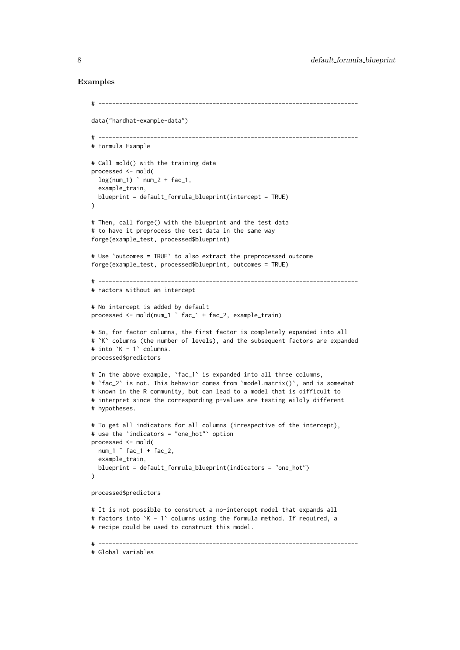#### Examples

```
# ---------------------------------------------------------------------------
data("hardhat-example-data")
# ---------------------------------------------------------------------------
# Formula Example
# Call mold() with the training data
processed <- mold(
 log(num_1) ~num_2 + fac_1,
  example_train,
 blueprint = default_formula_blueprint(intercept = TRUE)
)
# Then, call forge() with the blueprint and the test data
# to have it preprocess the test data in the same way
forge(example_test, processed$blueprint)
# Use `outcomes = TRUE` to also extract the preprocessed outcome
forge(example_test, processed$blueprint, outcomes = TRUE)
# ---------------------------------------------------------------------------
# Factors without an intercept
# No intercept is added by default
processed <- mold(num_1 ˜ fac_1 + fac_2, example_train)
# So, for factor columns, the first factor is completely expanded into all
# `K` columns (the number of levels), and the subsequent factors are expanded
# into `K - 1` columns.
processed$predictors
# In the above example, 'fac_1' is expanded into all three columns,
# `fac_2` is not. This behavior comes from `model.matrix()`, and is somewhat
# known in the R community, but can lead to a model that is difficult to
# interpret since the corresponding p-values are testing wildly different
# hypotheses.
# To get all indicators for all columns (irrespective of the intercept),
# use the `indicators = "one_hot"` option
processed <- mold(
 num_1 \tilde{ } fac_1 + fac_2,
  example_train,
  blueprint = default_formula_blueprint(indicators = "one_hot")
\lambdaprocessed$predictors
# It is not possible to construct a no-intercept model that expands all
# factors into `K - 1` columns using the formula method. If required, a
# recipe could be used to construct this model.
# ---------------------------------------------------------------------------
```

```
# Global variables
```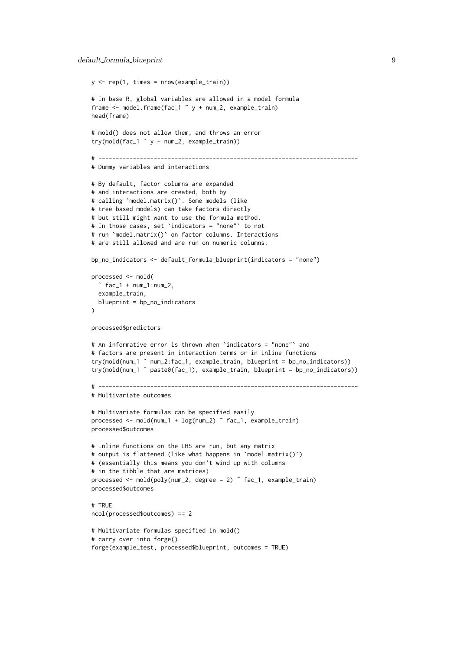```
y \leq -rep(1, times = nrow(example_train))# In base R, global variables are allowed in a model formula
frame <- model.frame(fac_1 ˜ y + num_2, example_train)
head(frame)
# mold() does not allow them, and throws an error
try(mold(fac_1^ y + num_2, example_train))# ---------------------------------------------------------------------------
# Dummy variables and interactions
# By default, factor columns are expanded
# and interactions are created, both by
# calling `model.matrix()`. Some models (like
# tree based models) can take factors directly
# but still might want to use the formula method.
# In those cases, set `indicators = "none"` to not
# run `model.matrix()` on factor columns. Interactions
# are still allowed and are run on numeric columns.
bp_no_indicators <- default_formula_blueprint(indicators = "none")
processed <- mold(
  \tilde{ } fac_1 + num_1:num_2,
  example_train,
 blueprint = bp_no_indicators
\lambdaprocessed$predictors
# An informative error is thrown when `indicators = "none"` and
# factors are present in interaction terms or in inline functions
try(mold(num_1 ˜ num_2:fac_1, example_train, blueprint = bp_no_indicators))
try(mold(num_1 ˜ paste0(fac_1), example_train, blueprint = bp_no_indicators))
# ---------------------------------------------------------------------------
# Multivariate outcomes
# Multivariate formulas can be specified easily
processed <- mold(num_1 + log(num_2) ˜ fac_1, example_train)
processed$outcomes
# Inline functions on the LHS are run, but any matrix
# output is flattened (like what happens in `model.matrix()`)
# (essentially this means you don't wind up with columns
# in the tibble that are matrices)
processed \leq mold(poly(num_2, degree = 2) \tilde{ } fac_1, example_train)
processed$outcomes
# TRUE
ncol(processed$outcomes) == 2
# Multivariate formulas specified in mold()
# carry over into forge()
forge(example_test, processed$blueprint, outcomes = TRUE)
```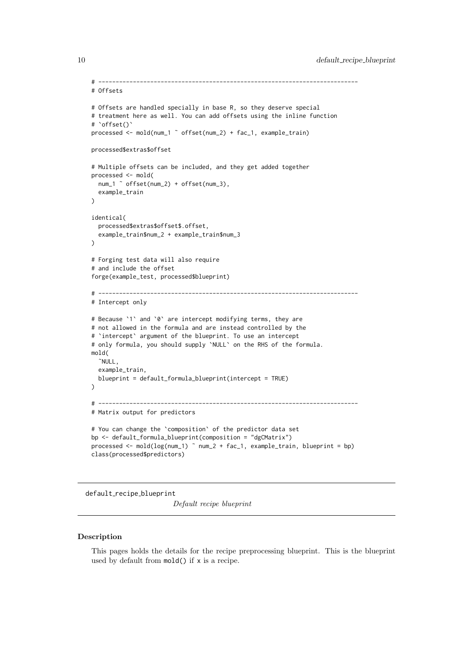```
# ---------------------------------------------------------------------------
# Offsets
# Offsets are handled specially in base R, so they deserve special
# treatment here as well. You can add offsets using the inline function
# `offset()`
processed <- mold(num_1 ˜ offset(num_2) + fac_1, example_train)
processed$extras$offset
# Multiple offsets can be included, and they get added together
processed <- mold(
 num_1 ˜ offset(num_2) + offset(num_3),
  example_train
\lambdaidentical(
  processed$extras$offset$.offset,
  example_train$num_2 + example_train$num_3
\lambda# Forging test data will also require
# and include the offset
forge(example_test, processed$blueprint)
# ---------------------------------------------------------------------------
# Intercept only
# Because `1` and `0` are intercept modifying terms, they are
# not allowed in the formula and are instead controlled by the
# `intercept` argument of the blueprint. To use an intercept
# only formula, you should supply `NULL` on the RHS of the formula.
mold(
  ˜NULL,
  example_train,
 blueprint = default_formula_blueprint(intercept = TRUE)
)
# ---------------------------------------------------------------------------
# Matrix output for predictors
# You can change the `composition` of the predictor data set
bp <- default_formula_blueprint(composition = "dgCMatrix")
processed <- mold(log(num_1) ˜ num_2 + fac_1, example_train, blueprint = bp)
class(processed$predictors)
```
<span id="page-9-1"></span>default\_recipe\_blueprint

Default recipe blueprint

#### Description

This pages holds the details for the recipe preprocessing blueprint. This is the blueprint used by default from mold() if x is a recipe.

<span id="page-9-0"></span>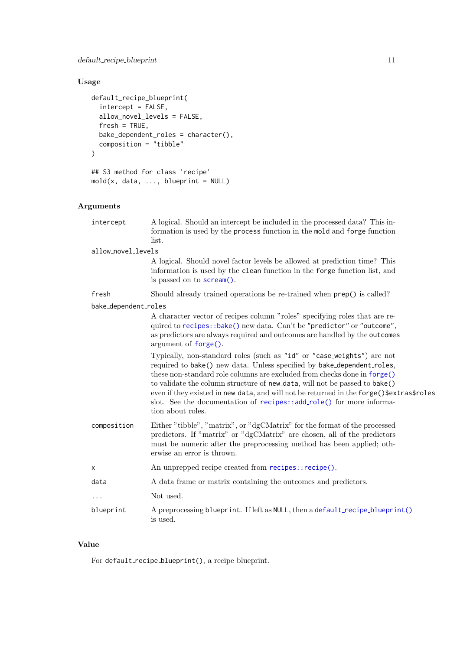### <span id="page-10-0"></span>Usage

```
default_recipe_blueprint(
  intercept = FALSE,allow_novel_levels = FALSE,
  fresh = TRUE,bake_dependent_roles = character(),
  composition = "tibble"
)
## S3 method for class 'recipe'
```
### $mod(x, data, ..., blueprint = NULL)$

### Arguments

| intercept            | A logical. Should an intercept be included in the processed data? This in-<br>formation is used by the process function in the mold and forge function<br>list.                                                                                                                                                                                                                                                                                                                                     |
|----------------------|-----------------------------------------------------------------------------------------------------------------------------------------------------------------------------------------------------------------------------------------------------------------------------------------------------------------------------------------------------------------------------------------------------------------------------------------------------------------------------------------------------|
| allow_novel_levels   |                                                                                                                                                                                                                                                                                                                                                                                                                                                                                                     |
|                      | A logical. Should novel factor levels be allowed at prediction time? This<br>information is used by the clean function in the forge function list, and<br>is passed on to <b>scream</b> ().                                                                                                                                                                                                                                                                                                         |
| fresh                | Should already trained operations be re-trained when $\mathsf{prep}()$ is called?                                                                                                                                                                                                                                                                                                                                                                                                                   |
| bake_dependent_roles |                                                                                                                                                                                                                                                                                                                                                                                                                                                                                                     |
|                      | A character vector of recipes column "roles" specifying roles that are re-<br>quired to recipes::bake() new data. Can't be "predictor" or "outcome",<br>as predictors are always required and outcomes are handled by the outcomes<br>argument of <i>forget()</i> .                                                                                                                                                                                                                                 |
|                      | Typically, non-standard roles (such as "id" or "case_weights") are not<br>required to bake() new data. Unless specified by bake_dependent_roles,<br>these non-standard role columns are excluded from checks done in forge()<br>to validate the column structure of new_data, will not be passed to bake()<br>even if they existed in new_data, and will not be returned in the forge()\$extras\$roles<br>slot. See the documentation of recipes::add_role() for more informa-<br>tion about roles. |
| composition          | Either "tibble", "matrix", or "dgCMatrix" for the format of the processed<br>predictors. If "matrix" or "dgCMatrix" are chosen, all of the predictors<br>must be numeric after the preprocessing method has been applied; oth-<br>erwise an error is thrown.                                                                                                                                                                                                                                        |
| Х                    | An unprepped recipe created from recipes::recipe().                                                                                                                                                                                                                                                                                                                                                                                                                                                 |
| data                 | A data frame or matrix containing the outcomes and predictors.                                                                                                                                                                                                                                                                                                                                                                                                                                      |
| $\cdots$             | Not used.                                                                                                                                                                                                                                                                                                                                                                                                                                                                                           |
| blueprint            | A preprocessing blueprint. If left as NULL, then a default_recipe_blueprint()<br>is used.                                                                                                                                                                                                                                                                                                                                                                                                           |
|                      |                                                                                                                                                                                                                                                                                                                                                                                                                                                                                                     |

### Value

For default\_recipe\_blueprint(), a recipe blueprint.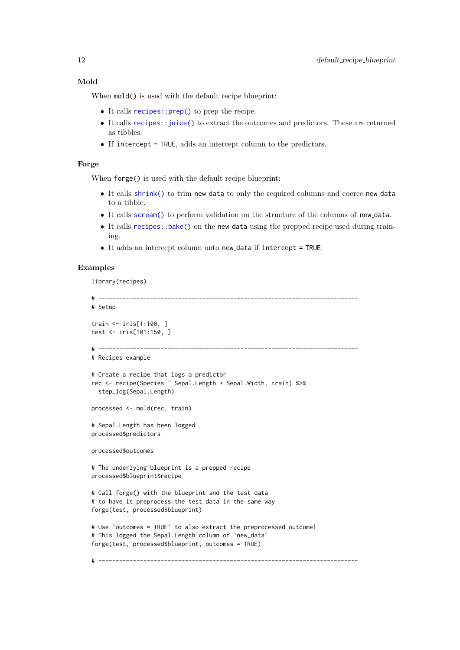#### <span id="page-11-0"></span>Mold

When  $mod()$  is used with the default recipe blueprint:

- $\bullet$  It calls [recipes::prep\(\)](#page-0-0) to prep the recipe.
- It calls [recipes::juice\(\)](#page-0-0) to extract the outcomes and predictors. These are returned as tibbles.
- $\bullet$  If intercept = TRUE, adds an intercept column to the predictors.

### Forge

When forge() is used with the default recipe blueprint:

- It calls [shrink\(\)](#page-42-1) to trim new data to only the required columns and coerce new data to a tibble.
- It calls [scream\(\)](#page-39-1) to perform validation on the structure of the columns of new data.
- It calls [recipes::bake\(\)](#page-0-0) on the new data using the prepped recipe used during training.
- It adds an intercept column onto new data if intercept = TRUE.

#### Examples

library(recipes)

```
# ---------------------------------------------------------------------------
# Setup
train <- iris[1:100, ]
test <- iris[101:150, ]
# ---------------------------------------------------------------------------
# Recipes example
# Create a recipe that logs a predictor
rec <- recipe(Species ˜ Sepal.Length + Sepal.Width, train) %>%
  step_log(Sepal.Length)
processed <- mold(rec, train)
# Sepal.Length has been logged
processed$predictors
processed$outcomes
# The underlying blueprint is a prepped recipe
processed$blueprint$recipe
# Call forge() with the blueprint and the test data
# to have it preprocess the test data in the same way
forge(test, processed$blueprint)
# Use `outcomes = TRUE` to also extract the preprocessed outcome!
# This logged the Sepal.Length column of `new_data`
forge(test, processed$blueprint, outcomes = TRUE)
# ---------------------------------------------------------------------------
```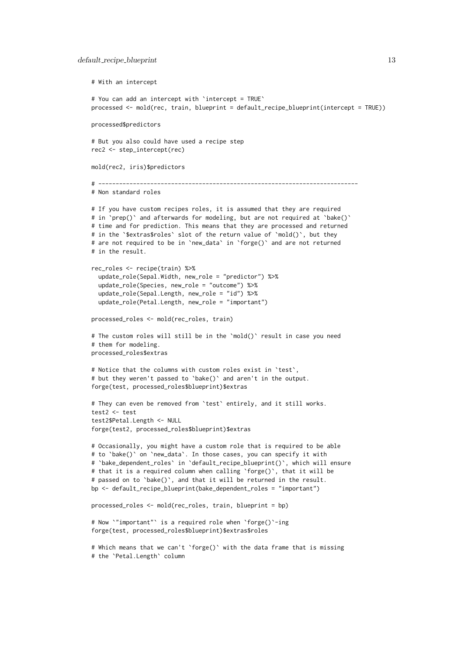# With an intercept # You can add an intercept with `intercept = TRUE` processed <- mold(rec, train, blueprint = default\_recipe\_blueprint(intercept = TRUE)) processed\$predictors # But you also could have used a recipe step rec2 <- step\_intercept(rec) mold(rec2, iris)\$predictors # --------------------------------------------------------------------------- # Non standard roles # If you have custom recipes roles, it is assumed that they are required # in `prep()` and afterwards for modeling, but are not required at `bake()` # time and for prediction. This means that they are processed and returned # in the `\$extras\$roles` slot of the return value of `mold()`, but they # are not required to be in `new\_data` in `forge()` and are not returned # in the result. rec\_roles <- recipe(train) %>% update\_role(Sepal.Width, new\_role = "predictor") %>% update\_role(Species, new\_role = "outcome") %>% update\_role(Sepal.Length, new\_role = "id") %>% update\_role(Petal.Length, new\_role = "important") processed\_roles <- mold(rec\_roles, train) # The custom roles will still be in the `mold()` result in case you need # them for modeling. processed\_roles\$extras # Notice that the columns with custom roles exist in `test`, # but they weren't passed to `bake()` and aren't in the output. forge(test, processed\_roles\$blueprint)\$extras # They can even be removed from `test` entirely, and it still works. test2 <- test test2\$Petal.Length <- NULL forge(test2, processed\_roles\$blueprint)\$extras # Occasionally, you might have a custom role that is required to be able # to `bake()` on `new\_data`. In those cases, you can specify it with # `bake\_dependent\_roles` in `default\_recipe\_blueprint()`, which will ensure # that it is a required column when calling `forge()`, that it will be # passed on to `bake()`, and that it will be returned in the result. bp  $\leq$  default\_recipe\_blueprint(bake\_dependent\_roles = "important") processed\_roles <- mold(rec\_roles, train, blueprint = bp)

```
# Now `"important"` is a required role when `forge()`-ing
forge(test, processed_roles$blueprint)$extras$roles
```

```
# Which means that we can't `forge()` with the data frame that is missing
# the `Petal.Length` column
```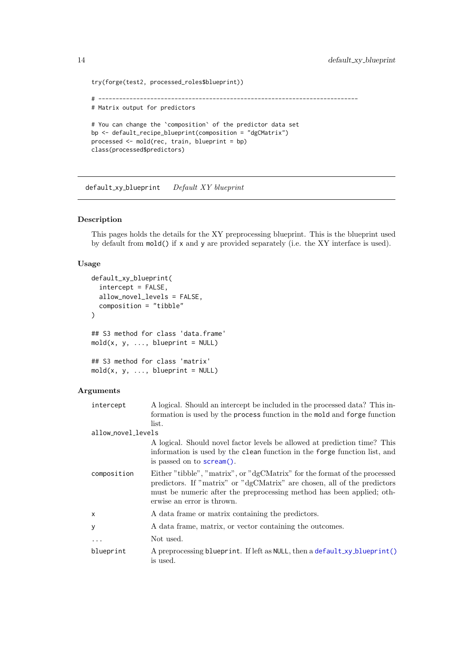```
try(forge(test2, processed_roles$blueprint))
# ---------------------------------------------------------------------------
# Matrix output for predictors
# You can change the `composition` of the predictor data set
bp <- default_recipe_blueprint(composition = "dgCMatrix")
processed <- mold(rec, train, blueprint = bp)
class(processed$predictors)
```
<span id="page-13-1"></span>default\_xy\_blueprint Default XY blueprint

### Description

This pages holds the details for the XY preprocessing blueprint. This is the blueprint used by default from mold() if x and y are provided separately (i.e. the XY interface is used).

#### Usage

```
default_xy_blueprint(
 intercept = FALSE,
 allow_novel_levels = FALSE,
 composition = "tibble"
)
## S3 method for class 'data.frame'
mod(x, y, ..., blueprint = NULL)## S3 method for class 'matrix'
mod(x, y, \ldots, blueprint = NULL)
```
#### Arguments

| intercept          | A logical. Should an intercept be included in the processed data? This in-                                                                                                                                                                                   |
|--------------------|--------------------------------------------------------------------------------------------------------------------------------------------------------------------------------------------------------------------------------------------------------------|
|                    | formation is used by the process function in the mold and forge function                                                                                                                                                                                     |
|                    | list.                                                                                                                                                                                                                                                        |
| allow_novel_levels |                                                                                                                                                                                                                                                              |
|                    | A logical. Should novel factor levels be allowed at prediction time? This<br>information is used by the clean function in the forge function list, and<br>is passed on to <b>scream</b> ().                                                                  |
| composition        | Either "tibble", "matrix", or "dgCMatrix" for the format of the processed<br>predictors. If "matrix" or "dgCMatrix" are chosen, all of the predictors<br>must be numeric after the preprocessing method has been applied; oth-<br>erwise an error is thrown. |
| X                  | A data frame or matrix containing the predictors.                                                                                                                                                                                                            |
| У                  | A data frame, matrix, or vector containing the outcomes.                                                                                                                                                                                                     |
| .                  | Not used.                                                                                                                                                                                                                                                    |
| blueprint          | A preprocessing blueprint. If left as NULL, then a default_xy_blueprint()<br>is used.                                                                                                                                                                        |

<span id="page-13-0"></span>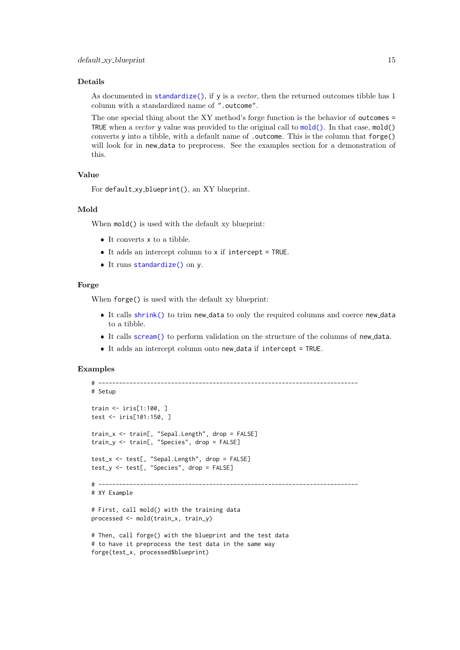#### <span id="page-14-0"></span>Details

As documented in [standardize\(\)](#page-44-1), if y is a vector, then the returned outcomes tibble has 1 column with a standardized name of ".outcome".

The one special thing about the XY method's forge function is the behavior of outcomes = TRUE when a vector y value was provided to the original call to  $mod($ . In that case,  $mod($ converts y into a tibble, with a default name of .outcome. This is the column that forge() will look for in new data to preprocess. See the examples section for a demonstration of this.

#### Value

```
For default_xy_blueprint(), an XY blueprint.
```
#### Mold

When  $mod()$  is used with the default xy blueprint:

- $\bullet\,$  It converts  ${\sf x}$  to a tibble.
- It adds an intercept column to x if intercept = TRUE.
- It runs [standardize\(\)](#page-44-1) on y.

### Forge

When forge() is used with the default xy blueprint:

- It calls [shrink\(\)](#page-42-1) to trim new data to only the required columns and coerce new data to a tibble.
- It calls [scream\(\)](#page-39-1) to perform validation on the structure of the columns of new data.
- It adds an intercept column onto new data if intercept = TRUE.

### Examples

```
# ---------------------------------------------------------------------------
# Setup
train <- iris[1:100, ]
test <- iris[101:150, ]
train_x <- train[, "Sepal.Length", drop = FALSE]
train_y <- train[, "Species", drop = FALSE]
test_x <- test[, "Sepal.Length", drop = FALSE]
test_y <- test[, "Species", drop = FALSE]
# ---------------------------------------------------------------------------
# XY Example
# First, call mold() with the training data
processed <- mold(train_x, train_y)
# Then, call forge() with the blueprint and the test data
# to have it preprocess the test data in the same way
forge(test_x, processed$blueprint)
```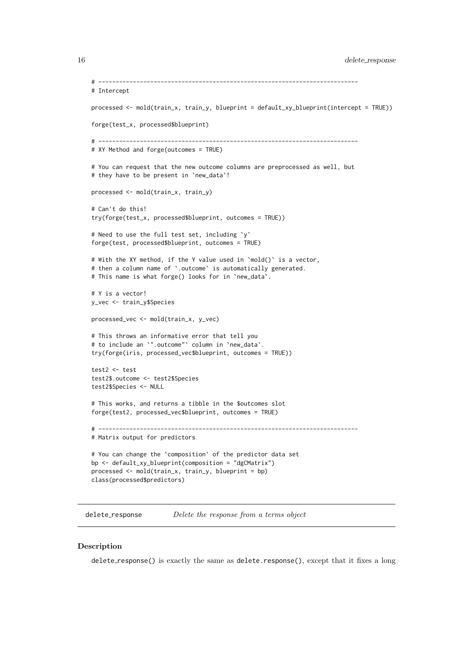```
# ---------------------------------------------------------------------------
# Intercept
processed <- mold(train_x, train_y, blueprint = default_xy_blueprint(intercept = TRUE))
forge(test_x, processed$blueprint)
# ---------------------------------------------------------------------------
# XY Method and forge(outcomes = TRUE)
# You can request that the new outcome columns are preprocessed as well, but
# they have to be present in `new_data`!
processed <- mold(train_x, train_y)
# Can't do this!
try(forge(test_x, processed$blueprint, outcomes = TRUE))
# Need to use the full test set, including `y`
forge(test, processed$blueprint, outcomes = TRUE)
# With the XY method, if the Y value used in `mold()` is a vector,
# then a column name of `.outcome` is automatically generated.
# This name is what forge() looks for in `new_data`.
# Y is a vector!
y_vec <- train_y$Species
processed_vec <- mold(train_x, y_vec)
# This throws an informative error that tell you
# to include an `".outcome"` column in `new_data`.
try(forge(iris, processed_vec$blueprint, outcomes = TRUE))
test2 <- test
test2$.outcome <- test2$Species
test2$Species <- NULL
# This works, and returns a tibble in the $outcomes slot
forge(test2, processed_vec$blueprint, outcomes = TRUE)
# ---------------------------------------------------------------------------
# Matrix output for predictors
# You can change the `composition` of the predictor data set
bp <- default_xy_blueprint(composition = "dgCMatrix")
processed <- mold(train_x, train_y, blueprint = bp)
class(processed$predictors)
```
delete\_response Delete the response from a terms object

#### Description

delete response() is exactly the same as delete.response(), except that it fixes a long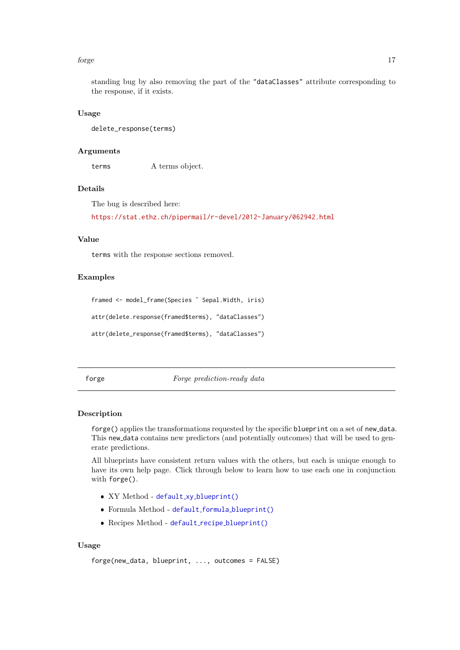#### <span id="page-16-0"></span>forge that the contract of the contract of the contract of the contract of the contract of the contract of the contract of the contract of the contract of the contract of the contract of the contract of the contract of the

standing bug by also removing the part of the "dataClasses" attribute corresponding to the response, if it exists.

### Usage

delete\_response(terms)

### Arguments

terms A terms object.

#### Details

The bug is described here:

<https://stat.ethz.ch/pipermail/r-devel/2012-January/062942.html>

### Value

terms with the response sections removed.

#### Examples

```
framed <- model_frame(Species ˜ Sepal.Width, iris)
attr(delete.response(framed$terms), "dataClasses")
```
attr(delete\_response(framed\$terms), "dataClasses")

<span id="page-16-1"></span>forge  $Forge\ predicted by\ data$ 

#### Description

forge() applies the transformations requested by the specific blueprint on a set of new data. This new data contains new predictors (and potentially outcomes) that will be used to generate predictions.

All blueprints have consistent return values with the others, but each is unique enough to have its own help page. Click through below to learn how to use each one in conjunction with forge().

- XY Method default\_xy\_[blueprint\(\)](#page-13-1)
- Formula Method default formula [blueprint\(\)](#page-4-1)
- Recipes Method default\_recipe\_[blueprint\(\)](#page-9-1)

### Usage

```
forge(new_data, blueprint, ..., outcomes = FALSE)
```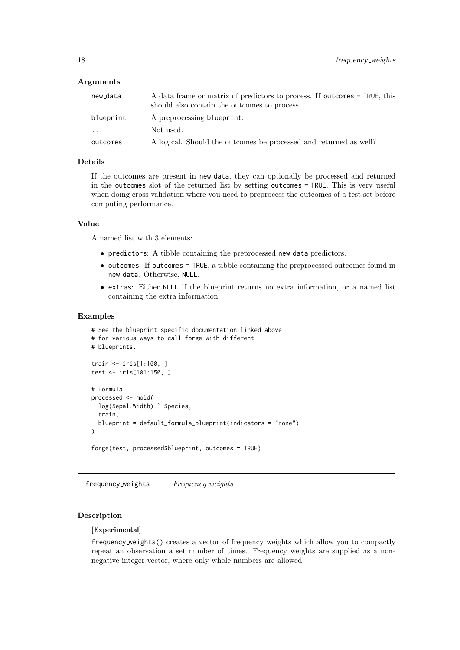#### <span id="page-17-0"></span>Arguments

| new_data                | A data frame or matrix of predictors to process. If outcomes = TRUE, this<br>should also contain the outcomes to process. |
|-------------------------|---------------------------------------------------------------------------------------------------------------------------|
| blueprint               | A preprocessing blueprint.                                                                                                |
| $\cdot$ $\cdot$ $\cdot$ | Not used.                                                                                                                 |
| outcomes                | A logical. Should the outcomes be processed and returned as well?                                                         |

### Details

If the outcomes are present in new data, they can optionally be processed and returned in the outcomes slot of the returned list by setting outcomes = TRUE. This is very useful when doing cross validation where you need to preprocess the outcomes of a test set before computing performance.

### Value

A named list with 3 elements:

- predictors: A tibble containing the preprocessed new data predictors.
- $\bullet$  outcomes: If outcomes = TRUE, a tibble containing the preprocessed outcomes found in new data. Otherwise, NULL.
- extras: Either NULL if the blueprint returns no extra information, or a named list containing the extra information.

### Examples

```
# See the blueprint specific documentation linked above
# for various ways to call forge with different
# blueprints.
train <- iris[1:100, ]
test <- iris[101:150, ]
# Formula
processed <- mold(
 log(Sepal.Width) ~ Species,
  train,
 blueprint = default_formula_blueprint(indicators = "none")
)
forge(test, processed$blueprint, outcomes = TRUE)
```
<span id="page-17-1"></span>frequency\_weights Frequency weights

### Description

#### [Experimental]

frequency weights() creates a vector of frequency weights which allow you to compactly repeat an observation a set number of times. Frequency weights are supplied as a nonnegative integer vector, where only whole numbers are allowed.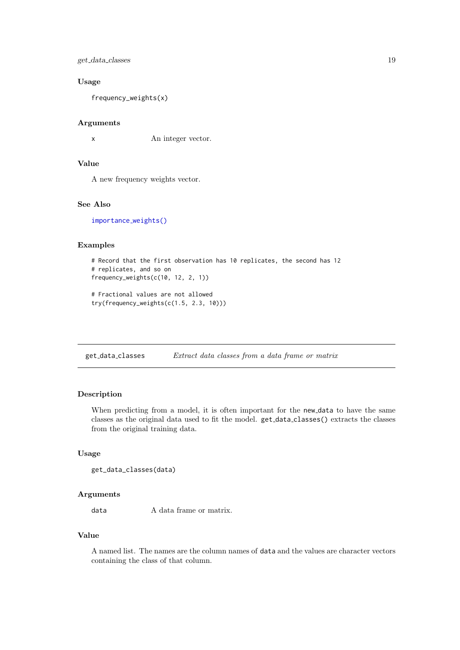<span id="page-18-0"></span>get\_data\_classes 19

#### Usage

frequency\_weights(x)

### Arguments

x An integer vector.

### Value

A new frequency weights vector.

### See Also

[importance](#page-21-1)\_weights()

### Examples

```
# Record that the first observation has 10 replicates, the second has 12
# replicates, and so on
frequency_weights(c(10, 12, 2, 1))
# Fractional values are not allowed
```

```
try(frequency_weights(c(1.5, 2.3, 10)))
```
get data classes Extract data classes from a data frame or matrix

### Description

When predicting from a model, it is often important for the new data to have the same classes as the original data used to fit the model. get data classes() extracts the classes from the original training data.

### Usage

```
get_data_classes(data)
```
### Arguments

data  $A$  data frame or matrix.

### Value

A named list. The names are the column names of data and the values are character vectors containing the class of that column.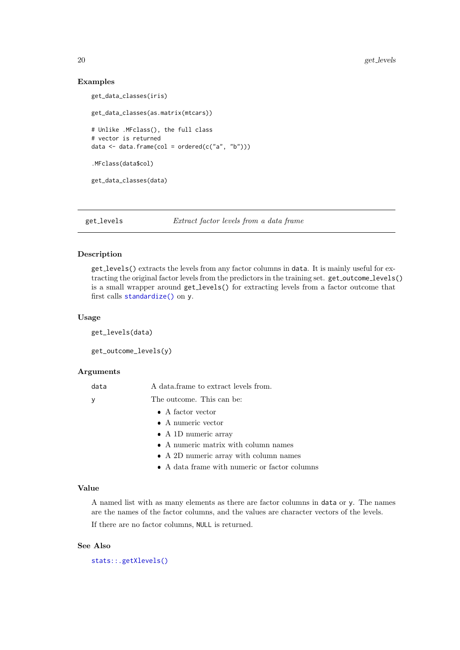### Examples

```
get_data_classes(iris)
get_data_classes(as.matrix(mtcars))
# Unlike .MFclass(), the full class
# vector is returned
data \leq data.frame(col = ordered(c("a", "b")))
.MFclass(data$col)
get_data_classes(data)
```
get levels Extract factor levels from a data frame

### Description

get levels() extracts the levels from any factor columns in data. It is mainly useful for extracting the original factor levels from the predictors in the training set. get\_outcome\_levels() is a small wrapper around get levels() for extracting levels from a factor outcome that first calls [standardize\(\)](#page-44-1) on y.

### Usage

get\_levels(data)

get\_outcome\_levels(y)

#### Arguments

| data | A data frame to extract levels from.   |
|------|----------------------------------------|
| У    | The outcome. This can be:              |
|      | $\bullet$ A factor vector              |
|      | $\bullet$ A numeric vector             |
|      | $\bullet$ A 1D numeric array           |
|      | • A numeric matrix with column names   |
|      | • A 2D numeric array with column names |
|      |                                        |

A data frame with numeric or factor columns

### Value

A named list with as many elements as there are factor columns in data or y. The names are the names of the factor columns, and the values are character vectors of the levels.

If there are no factor columns, NULL is returned.

### See Also

[stats::.getXlevels\(\)](#page-0-0)

<span id="page-19-0"></span>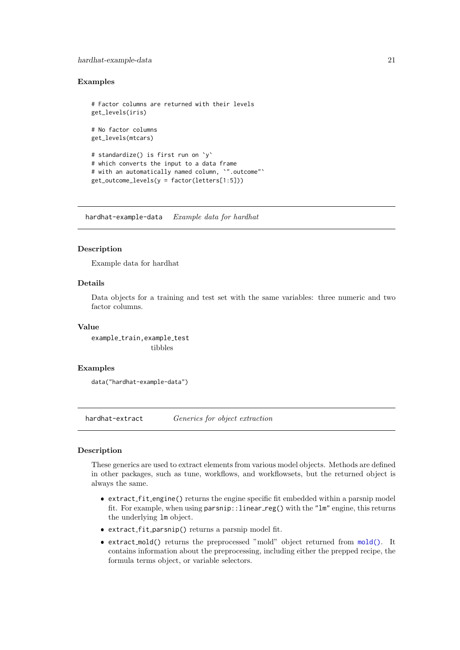#### <span id="page-20-0"></span>hardhat-example-data 21

#### Examples

```
# Factor columns are returned with their levels
get_levels(iris)
# No factor columns
get_levels(mtcars)
# standardize() is first run on `y`
# which converts the input to a data frame
# with an automatically named column, `".outcome"`
get_outcome_levels(y = factor(letters[1:5]))
```
hardhat-example-data Example data for hardhat

### Description

Example data for hardhat

### Details

Data objects for a training and test set with the same variables: three numeric and two factor columns.

#### Value

```
example_train, example_test
                 tibbles
```
#### Examples

data("hardhat-example-data")

hardhat-extract Generics for object extraction

### Description

These generics are used to extract elements from various model objects. Methods are defined in other packages, such as tune, workflows, and workflowsets, but the returned object is always the same.

- extract fit engine() returns the engine specific fit embedded within a parsnip model fit. For example, when using parsnip::linear\_reg() with the "lm" engine, this returns the underlying lm object.
- extract fit parsnip() returns a parsnip model fit.
- extract mold() returns the preprocessed "mold" object returned from [mold\(\)](#page-28-1). It contains information about the preprocessing, including either the prepped recipe, the formula terms object, or variable selectors.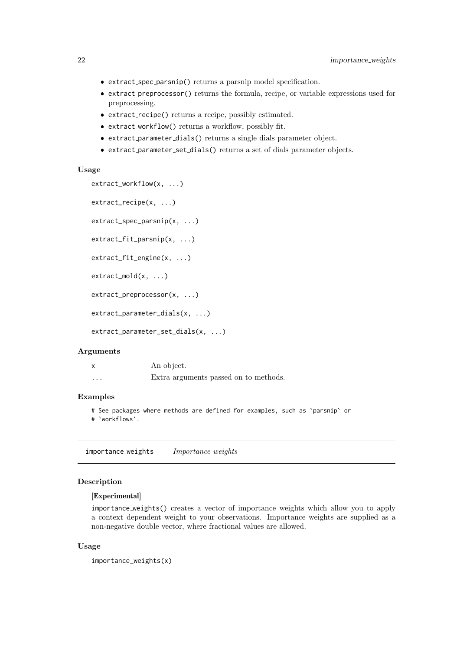- <span id="page-21-0"></span>extract spec parsnip() returns a parsnip model specification.
- extract preprocessor() returns the formula, recipe, or variable expressions used for preprocessing.
- extract recipe() returns a recipe, possibly estimated.
- extract workflow() returns a workflow, possibly fit.
- extract parameter dials() returns a single dials parameter object.
- extract parameter set dials() returns a set of dials parameter objects.

#### Usage

```
extract_workflow(x, ...)
```

```
extract_recipe(x, ...)
```

```
extract_spec_parsnip(x, ...)
```

```
extract_fit_parsnip(x, ...)
```

```
extract_fit_engine(x, ...)
```

```
extract_mold(x, ...)
```

```
extract_preprocessor(x, ...)
```

```
extract_parameter_dials(x, ...)
```

```
extract_parameter_set_dials(x, ...)
```
### Arguments

|          | An object.                            |
|----------|---------------------------------------|
| $\cdots$ | Extra arguments passed on to methods. |

### Examples

```
# See packages where methods are defined for examples, such as `parsnip` or
```
# `workflows`.

<span id="page-21-1"></span>importance weights Importance weights

### Description

### [Experimental]

importance weights() creates a vector of importance weights which allow you to apply a context dependent weight to your observations. Importance weights are supplied as a non-negative double vector, where fractional values are allowed.

### Usage

```
importance_weights(x)
```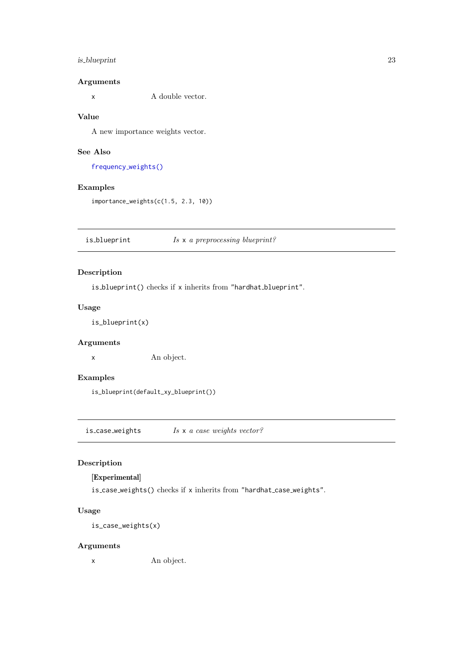### <span id="page-22-0"></span>is blueprint 23

### Arguments

x A double vector.

### Value

A new importance weights vector.

### See Also

frequency [weights\(\)](#page-17-1)

### Examples

importance\_weights(c(1.5, 2.3, 10))

is blueprint  $Is \times a$  preprocessing blueprint?

### Description

is\_blueprint() checks if x inherits from "hardhat\_blueprint".

### Usage

is\_blueprint(x)

### Arguments

x An object.

### Examples

is\_blueprint(default\_xy\_blueprint())

is case weights  $Is \times a \text{ case weights vector?}$ 

### Description

### [Experimental]

is case weights() checks if x inherits from "hardhat case weights".

### Usage

is\_case\_weights(x)

### Arguments

x An object.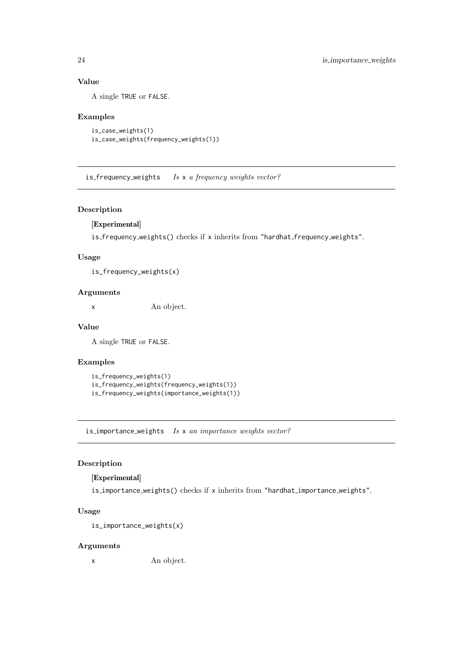### Value

A single TRUE or FALSE.

### Examples

```
is_case_weights(1)
is_case_weights(frequency_weights(1))
```
is frequency weights Is x a frequency weights vector?

### Description

### [Experimental]

is frequency weights() checks if x inherits from "hardhat frequency weights".

### Usage

is\_frequency\_weights(x)

### Arguments

x An object.

### Value

A single TRUE or FALSE.

### Examples

```
is_frequency_weights(1)
is_frequency_weights(frequency_weights(1))
is_frequency_weights(importance_weights(1))
```
is importance weights Is x an importance weights vector?

### Description

### [Experimental]

is importance weights() checks if x inherits from "hardhat importance weights".

### Usage

is\_importance\_weights(x)

#### Arguments

x An object.

<span id="page-23-0"></span>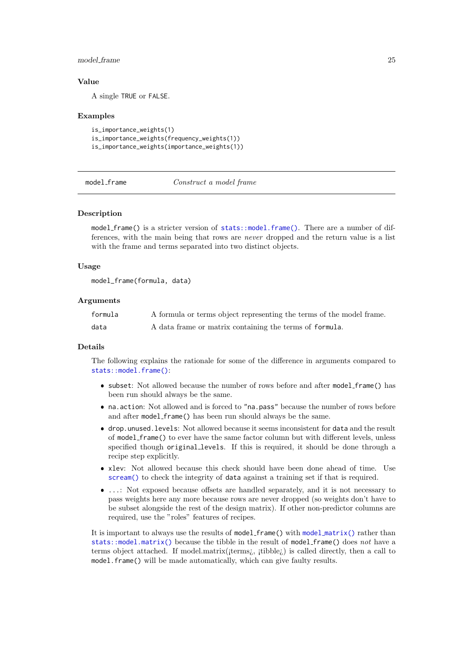#### <span id="page-24-0"></span>model frame 25

#### Value

A single TRUE or FALSE.

#### Examples

is\_importance\_weights(1) is\_importance\_weights(frequency\_weights(1)) is\_importance\_weights(importance\_weights(1))

<span id="page-24-1"></span>model frame  $Construct\ a\ model\ frame$ 

#### Description

model frame() is a stricter version of [stats::model.frame\(\)](#page-0-0). There are a number of differences, with the main being that rows are never dropped and the return value is a list with the frame and terms separated into two distinct objects.

#### Usage

```
model_frame(formula, data)
```
#### Arguments

| formula | A formula or terms object representing the terms of the model frame. |
|---------|----------------------------------------------------------------------|
| data    | A data frame or matrix containing the terms of formula.              |

#### Details

The following explains the rationale for some of the difference in arguments compared to [stats::model.frame\(\)](#page-0-0):

- subset: Not allowed because the number of rows before and after model frame() has been run should always be the same.
- na.action: Not allowed and is forced to "na.pass" because the number of rows before and after model frame() has been run should always be the same.
- drop.unused.levels: Not allowed because it seems inconsistent for data and the result of model frame() to ever have the same factor column but with different levels, unless specified though original levels. If this is required, it should be done through a recipe step explicitly.
- xlev: Not allowed because this check should have been done ahead of time. Use [scream\(\)](#page-39-1) to check the integrity of data against a training set if that is required.
- ...: Not exposed because offsets are handled separately, and it is not necessary to pass weights here any more because rows are never dropped (so weights don't have to be subset alongside the rest of the design matrix). If other non-predictor columns are required, use the "roles" features of recipes.

It is important to always use the results of  $model-frame()$  with  $model_matrix()$  $model_matrix()$  rather than [stats::model.matrix\(\)](#page-0-0) because the tibble in the result of model\_frame() does not have a terms object attached. If model.matrix( $\{\text{terms}_i, \text{ itible}_i\}$ ) is called directly, then a call to model.frame() will be made automatically, which can give faulty results.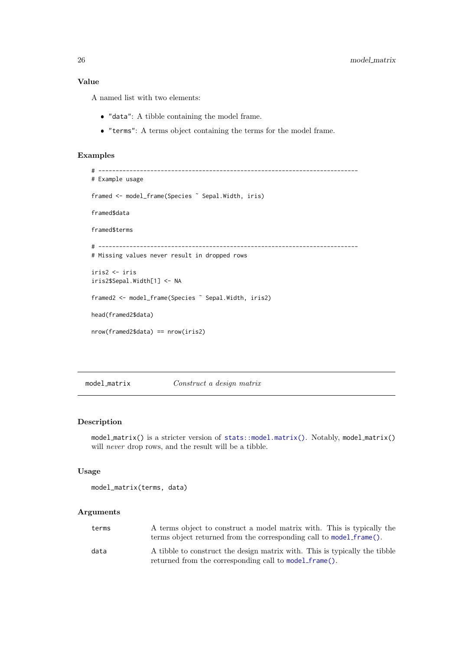### <span id="page-25-0"></span>Value

A named list with two elements:

- "data": A tibble containing the model frame.
- "terms": A terms object containing the terms for the model frame.

#### Examples

```
# ---------------------------------------------------------------------------
# Example usage
framed <- model_frame(Species ˜ Sepal.Width, iris)
framed$data
framed$terms
# ---------------------------------------------------------------------------
# Missing values never result in dropped rows
iris2 <- iris
iris2$Sepal.Width[1] <- NA
framed2 <- model_frame(Species ˜ Sepal.Width, iris2)
head(framed2$data)
nrow(framed2$data) == nrow(iris2)
```
<span id="page-25-1"></span>model matrix Construct a design matrix

### Description

model matrix() is a stricter version of [stats::model.matrix\(\)](#page-0-0). Notably, model matrix() will *never* drop rows, and the result will be a tibble.

#### Usage

```
model_matrix(terms, data)
```
### Arguments

| terms | A terms object to construct a model matrix with. This is typically the<br>terms object returned from the corresponding call to model_frame(). |
|-------|-----------------------------------------------------------------------------------------------------------------------------------------------|
| data  | A tibble to construct the design matrix with. This is typically the tibble<br>returned from the corresponding call to model_frame().          |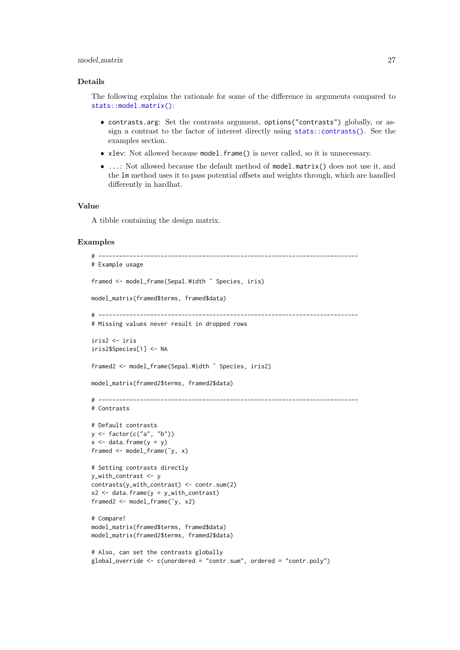#### <span id="page-26-0"></span>model matrix 27

#### Details

The following explains the rationale for some of the difference in arguments compared to [stats::model.matrix\(\)](#page-0-0):

- contrasts.arg: Set the contrasts argument, options("contrasts") globally, or assign a contrast to the factor of interest directly using [stats::contrasts\(\)](#page-0-0). See the examples section.
- xlev: Not allowed because model.frame() is never called, so it is unnecessary.
- ...: Not allowed because the default method of model.matrix() does not use it, and the lm method uses it to pass potential offsets and weights through, which are handled differently in hardhat.

#### Value

A tibble containing the design matrix.

#### Examples

```
# ---------------------------------------------------------------------------
# Example usage
framed <- model_frame(Sepal.Width ˜ Species, iris)
model_matrix(framed$terms, framed$data)
# ---------------------------------------------------------------------------
# Missing values never result in dropped rows
iris2 <- iris
iris2$Species[1] <- NA
framed2 <- model_frame(Sepal.Width ˜ Species, iris2)
model_matrix(framed2$terms, framed2$data)
# ---------------------------------------------------------------------------
# Contrasts
# Default contrasts
y <- factor(c("a", "b"))
x \le - data.frame(y = y)
framed <- model_frame(˜y, x)
# Setting contrasts directly
y_with_contrast <- y
contrasts(y_with_contrast) <- contr.sum(2)
x2 \leq data.frame(y = y_with_contrast)
framed2 <- model_frame(˜y, x2)
# Compare!
model_matrix(framed$terms, framed$data)
model_matrix(framed2$terms, framed2$data)
# Also, can set the contrasts globally
global_override <- c(unordered = "contr.sum", ordered = "contr.poly")
```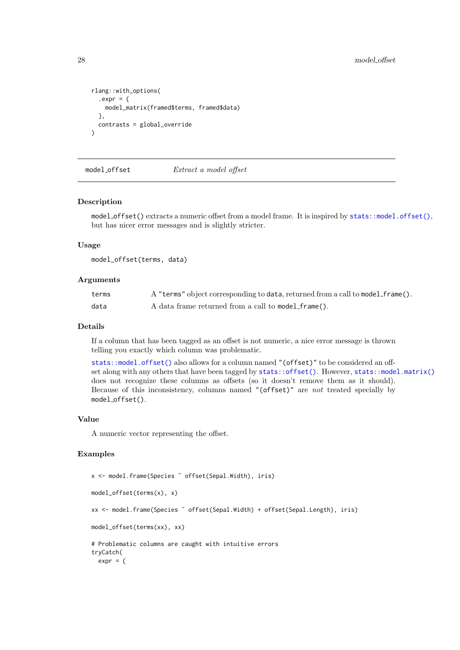```
rlang::with_options(
  expr = fmodel_matrix(framed$terms, framed$data)
  },
  contrasts = global_override
)
```
<span id="page-27-1"></span>model\_offset Extract a model offset

#### Description

model offset() extracts a numeric offset from a model frame. It is inspired by [stats::model.offset\(\)](#page-0-0), but has nicer error messages and is slightly stricter.

#### Usage

model\_offset(terms, data)

#### Arguments

| terms | A "terms" object corresponding to data, returned from a call to model_frame(). |
|-------|--------------------------------------------------------------------------------|
| data  | A data frame returned from a call to model_frame().                            |

#### Details

If a column that has been tagged as an offset is not numeric, a nice error message is thrown telling you exactly which column was problematic.

[stats::model.offset\(\)](#page-0-0) also allows for a column named "(offset)" to be considered an offset along with any others that have been tagged by [stats::offset\(\)](#page-0-0). However, [stats::model.matrix\(\)](#page-0-0) does not recognize these columns as offsets (so it doesn't remove them as it should). Because of this inconsistency, columns named "(offset)" are not treated specially by model offset().

### Value

A numeric vector representing the offset.

### Examples

```
x <- model.frame(Species ˜ offset(Sepal.Width), iris)
model_offset(terms(x), x)
xx <- model.frame(Species ˜ offset(Sepal.Width) + offset(Sepal.Length), iris)
model_offset(terms(xx), xx)
# Problematic columns are caught with intuitive errors
tryCatch(
  expr = {
```
<span id="page-27-0"></span>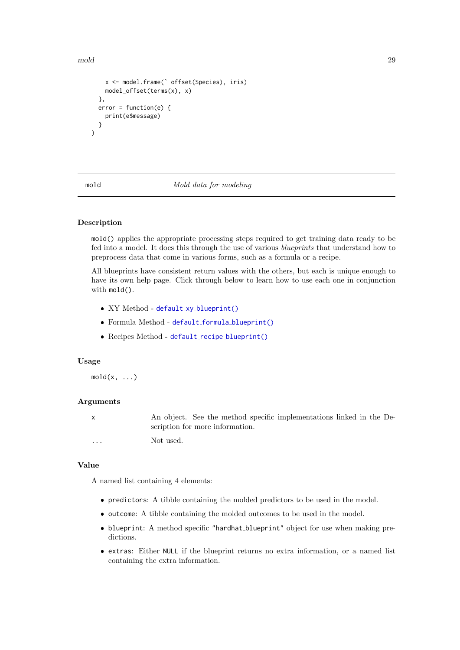<span id="page-28-0"></span>mold 29

```
x <- model.frame(˜ offset(Species), iris)
    model_offset(terms(x), x)
  },
  error = function(e) {
    print(e$message)
  }
)
```
#### <span id="page-28-1"></span>mold  $\Box$  Mold data for modeling

#### Description

mold() applies the appropriate processing steps required to get training data ready to be fed into a model. It does this through the use of various blueprints that understand how to preprocess data that come in various forms, such as a formula or a recipe.

All blueprints have consistent return values with the others, but each is unique enough to have its own help page. Click through below to learn how to use each one in conjunction with mold().

- XY Method default\_xy\_[blueprint\(\)](#page-13-1)
- Formula Method default formula [blueprint\(\)](#page-4-1)
- Recipes Method default\_recipe\_[blueprint\(\)](#page-9-1)

#### Usage

 $mold(x, \ldots)$ 

#### Arguments

|          | An object. See the method specific implementations linked in the De- |
|----------|----------------------------------------------------------------------|
|          | scription for more information.                                      |
| $\cdots$ | Not used.                                                            |

#### Value

A named list containing 4 elements:

- predictors: A tibble containing the molded predictors to be used in the model.
- outcome: A tibble containing the molded outcomes to be used in the model.
- blueprint: A method specific "hardhat\_blueprint" object for use when making predictions.
- extras: Either NULL if the blueprint returns no extra information, or a named list containing the extra information.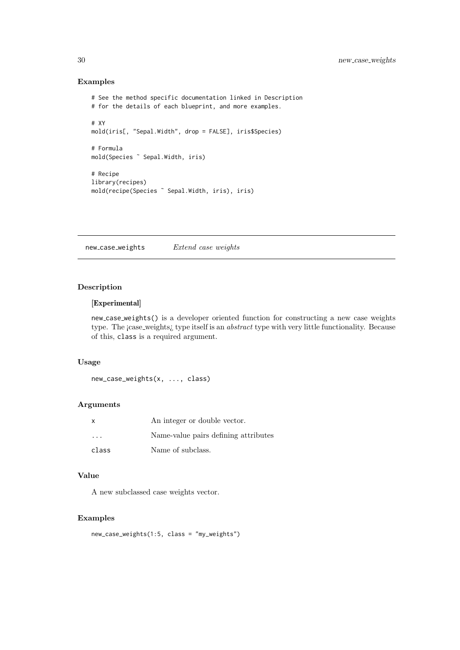### Examples

```
# See the method specific documentation linked in Description
# for the details of each blueprint, and more examples.
# XY
mold(iris[, "Sepal.Width", drop = FALSE], iris$Species)
# Formula
mold(Species ˜ Sepal.Width, iris)
# Recipe
library(recipes)
mold(recipe(Species ˜ Sepal.Width, iris), iris)
```
new\_case\_weights Extend case weights

### Description

### [Experimental]

new case weights() is a developer oriented function for constructing a new case weights type. The ¡case\_weights¿ type itself is an *abstract* type with very little functionality. Because of this, class is a required argument.

### Usage

```
new_case_weights(x, ..., class)
```
#### Arguments

| X                       | An integer or double vector.         |  |  |
|-------------------------|--------------------------------------|--|--|
| $\cdot$ $\cdot$ $\cdot$ | Name-value pairs defining attributes |  |  |
| class                   | Name of subclass.                    |  |  |

### Value

A new subclassed case weights vector.

#### Examples

```
new_case_weights(1:5, class = "my_weights")
```
<span id="page-29-0"></span>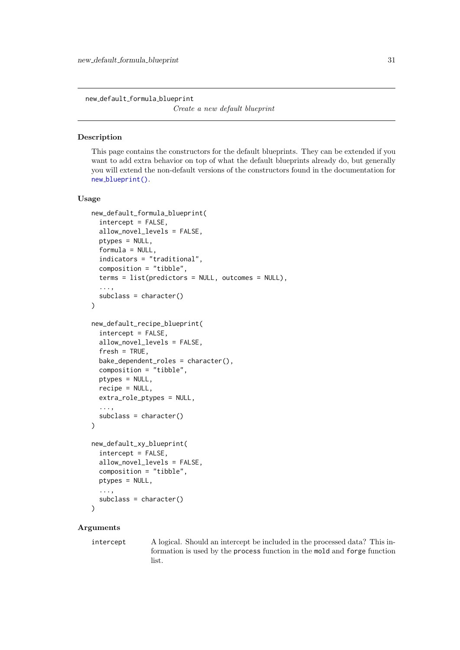<span id="page-30-0"></span>new default formula blueprint

Create a new default blueprint

#### Description

This page contains the constructors for the default blueprints. They can be extended if you want to add extra behavior on top of what the default blueprints already do, but generally you will extend the non-default versions of the constructors found in the documentation for new [blueprint\(\)](#page-32-1).

#### Usage

```
new_default_formula_blueprint(
  intercept = FALSE,
  allow_novel_levels = FALSE,
  ptypes = NULL,
  formula = NULL,
  indicators = "traditional",
  composition = "tibble",
  terms = list(predictors = NULL, outcomes = NULL),
  ...,
  subclass = character()
)
new_default_recipe_blueprint(
  intercept = FALSE,
  allow_novel_levels = FALSE,
  fresh = TRUE.
  bake_dependent_roles = character(),
  composition = "tibble",
  ptypes = NULL,
  recipe = NULL,
  extra_role_ptypes = NULL,
  ...,
  subclass = character()
)
new_default_xy_blueprint(
  intercept = FALSE,
  allow_novel_levels = FALSE,
  composition = "tibble",
  ptypes = NULL,
  ...,
  subclass = character()
)
```
### Arguments

intercept A logical. Should an intercept be included in the processed data? This information is used by the process function in the mold and forge function list.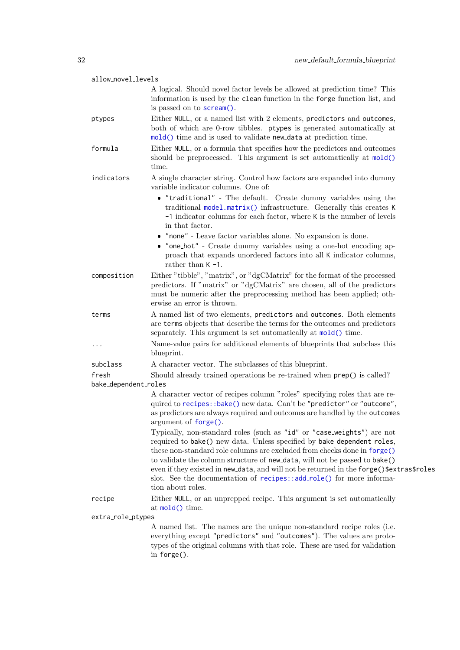<span id="page-31-0"></span>

| allow_novel_levels            |                                                                                                                                                                                                                                                                                                                                                                                                                                                                                                     |
|-------------------------------|-----------------------------------------------------------------------------------------------------------------------------------------------------------------------------------------------------------------------------------------------------------------------------------------------------------------------------------------------------------------------------------------------------------------------------------------------------------------------------------------------------|
|                               | A logical. Should novel factor levels be allowed at prediction time? This<br>information is used by the clean function in the forge function list, and<br>is passed on to scream().                                                                                                                                                                                                                                                                                                                 |
| ptypes                        | Either NULL, or a named list with 2 elements, predictors and outcomes,<br>both of which are 0-row tibbles. ptypes is generated automatically at<br>mold() time and is used to validate new_data at prediction time.                                                                                                                                                                                                                                                                                 |
| formula                       | Either NULL, or a formula that specifies how the predictors and outcomes<br>should be preprocessed. This argument is set automatically at mold()<br>time.                                                                                                                                                                                                                                                                                                                                           |
| indicators                    | A single character string. Control how factors are expanded into dummy<br>variable indicator columns. One of:                                                                                                                                                                                                                                                                                                                                                                                       |
|                               | • "traditional" - The default. Create dummy variables using the<br>traditional model.matrix() infrastructure. Generally this creates K<br>-1 indicator columns for each factor, where K is the number of levels<br>in that factor.                                                                                                                                                                                                                                                                  |
|                               | $\bullet\,$ "none" - Leave factor variables alone. No expansion is done.<br>• "one_hot" - Create dummy variables using a one-hot encoding ap-<br>proach that expands unordered factors into all K indicator columns,<br>rather than $K - 1$ .                                                                                                                                                                                                                                                       |
| composition                   | Either "tibble", "matrix", or "dgCMatrix" for the format of the processed<br>predictors. If "matrix" or "dgCMatrix" are chosen, all of the predictors<br>must be numeric after the preprocessing method has been applied; oth-<br>erwise an error is thrown.                                                                                                                                                                                                                                        |
| terms                         | A named list of two elements, predictors and outcomes. Both elements<br>are terms objects that describe the terms for the outcomes and predictors<br>separately. This argument is set automatically at $mod()$ time.                                                                                                                                                                                                                                                                                |
| .                             | Name-value pairs for additional elements of blueprints that subclass this<br>blueprint.                                                                                                                                                                                                                                                                                                                                                                                                             |
| subclass                      | A character vector. The subclasses of this blueprint.                                                                                                                                                                                                                                                                                                                                                                                                                                               |
| fresh<br>bake_dependent_roles | Should already trained operations be re-trained when $\mathsf{prep}()$ is called?                                                                                                                                                                                                                                                                                                                                                                                                                   |
|                               | A character vector of recipes column "roles" specifying roles that are re-<br>quired to recipes::bake() new data. Can't be "predictor" or "outcome",<br>as predictors are always required and outcomes are handled by the outcomes<br>argument of <i>forget()</i> .                                                                                                                                                                                                                                 |
|                               | Typically, non-standard roles (such as "id" or "case_weights") are not<br>required to bake() new data. Unless specified by bake_dependent_roles,<br>these non-standard role columns are excluded from checks done in forge()<br>to validate the column structure of new_data, will not be passed to bake()<br>even if they existed in new_data, and will not be returned in the forge()\$extras\$roles<br>slot. See the documentation of recipes::add_role() for more informa-<br>tion about roles. |
| recipe                        | Either NULL, or an unprepped recipe. This argument is set automatically<br>at $\text{mol}(t)$ time.                                                                                                                                                                                                                                                                                                                                                                                                 |
| extra_role_ptypes             |                                                                                                                                                                                                                                                                                                                                                                                                                                                                                                     |
|                               | A named list. The names are the unique non-standard recipe roles (i.e.<br>everything except "predictors" and "outcomes"). The values are proto-<br>types of the original columns with that role. These are used for validation<br>in $fore$ ).                                                                                                                                                                                                                                                      |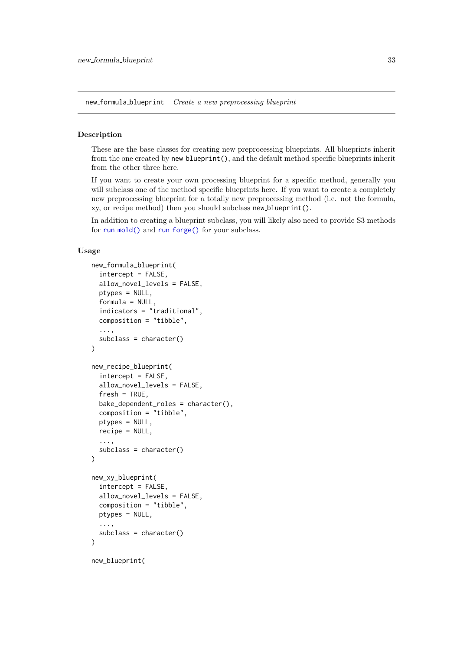<span id="page-32-2"></span><span id="page-32-0"></span>new formula blueprint Create a new preprocessing blueprint

#### <span id="page-32-1"></span>Description

These are the base classes for creating new preprocessing blueprints. All blueprints inherit from the one created by new blueprint(), and the default method specific blueprints inherit from the other three here.

If you want to create your own processing blueprint for a specific method, generally you will subclass one of the method specific blueprints here. If you want to create a completely new preprocessing blueprint for a totally new preprocessing method (i.e. not the formula, xy, or recipe method) then you should subclass new blueprint().

In addition to creating a blueprint subclass, you will likely also need to provide S3 methods for run\_[mold\(\)](#page-38-1) and run\_[forge\(\)](#page-37-1) for your subclass.

### Usage

```
new_formula_blueprint(
  intercept = FALSE,
  allow_novel_levels = FALSE,
  ptypes = NULL,
  formula = NULL,
  indicators = "traditional",
  composition = "tibble",
  ...,
  subclass = character()
)
new_recipe_blueprint(
  intercept = FALSE,
  allow_novel_levels = FALSE,
  fresh = TRUE.
  bake_dependent_roles = character(),
  composition = "tibble",
  ptypes = NULL,
  recipe = NULL,
  ...,
  subclass = character()
)
new_xy_blueprint(
  intercept = FALSE,
  allow_novel_levels = FALSE,
  composition = "tibble",
  ptypes = NULL,
  ...,
  subclass = character()
)
```
new\_blueprint(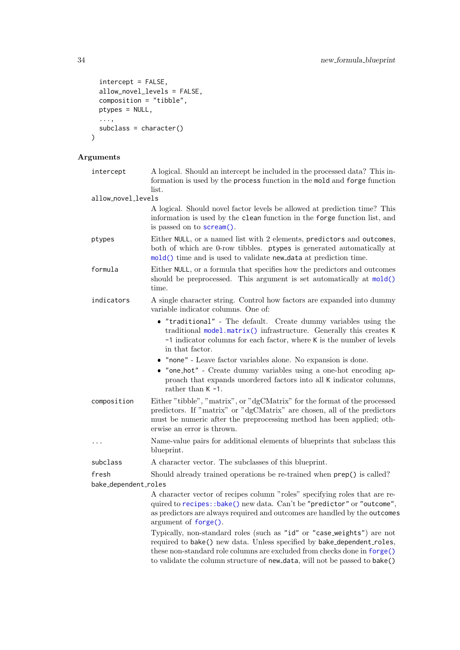```
intercept = FALSE,
  allow_novel_levels = FALSE,
  composition = "tibble",
  ptypes = NULL,
  ...,
 subclass = character()
)
```
### Arguments

| intercept            | A logical. Should an intercept be included in the processed data? This in-<br>formation is used by the process function in the mold and forge function<br>list.                                                                                                                                            |  |  |  |  |
|----------------------|------------------------------------------------------------------------------------------------------------------------------------------------------------------------------------------------------------------------------------------------------------------------------------------------------------|--|--|--|--|
| allow_novel_levels   |                                                                                                                                                                                                                                                                                                            |  |  |  |  |
|                      | A logical. Should novel factor levels be allowed at prediction time? This<br>information is used by the clean function in the forge function list, and<br>is passed on to scream().                                                                                                                        |  |  |  |  |
| ptypes               | Either NULL, or a named list with 2 elements, predictors and outcomes,<br>both of which are 0-row tibbles. ptypes is generated automatically at<br>mold() time and is used to validate new_data at prediction time.                                                                                        |  |  |  |  |
| formula              | Either NULL, or a formula that specifies how the predictors and outcomes<br>should be preprocessed. This argument is set automatically at mold()<br>time.                                                                                                                                                  |  |  |  |  |
| indicators           | A single character string. Control how factors are expanded into dummy<br>variable indicator columns. One of:                                                                                                                                                                                              |  |  |  |  |
|                      | • "traditional" - The default. Create dummy variables using the<br>traditional model.matrix() infrastructure. Generally this creates K<br>-1 indicator columns for each factor, where K is the number of levels<br>in that factor.                                                                         |  |  |  |  |
|                      | • "none" - Leave factor variables alone. No expansion is done.                                                                                                                                                                                                                                             |  |  |  |  |
|                      | • "one_hot" - Create dummy variables using a one-hot encoding ap-<br>proach that expands unordered factors into all K indicator columns,<br>rather than $K -1$ .                                                                                                                                           |  |  |  |  |
| composition          | Either "tibble", "matrix", or "dgCMatrix" for the format of the processed<br>predictors. If "matrix" or "dgCMatrix" are chosen, all of the predictors<br>must be numeric after the preprocessing method has been applied; oth-<br>erwise an error is thrown.                                               |  |  |  |  |
| .                    | Name-value pairs for additional elements of blueprints that subclass this<br>blueprint.                                                                                                                                                                                                                    |  |  |  |  |
| subclass             | A character vector. The subclasses of this blueprint.                                                                                                                                                                                                                                                      |  |  |  |  |
| fresh                | Should already trained operations be re-trained when $prep()$ is called?                                                                                                                                                                                                                                   |  |  |  |  |
| bake_dependent_roles |                                                                                                                                                                                                                                                                                                            |  |  |  |  |
|                      | A character vector of recipes column "roles" specifying roles that are re-<br>quired to recipes::bake() new data. Can't be "predictor" or "outcome",<br>as predictors are always required and outcomes are handled by the outcomes<br>argument of forge().                                                 |  |  |  |  |
|                      | Typically, non-standard roles (such as "id" or "case_weights") are not<br>required to bake() new data. Unless specified by bake_dependent_roles,<br>these non-standard role columns are excluded from checks done in forge()<br>to validate the column structure of new_data, will not be passed to bake() |  |  |  |  |

<span id="page-33-0"></span>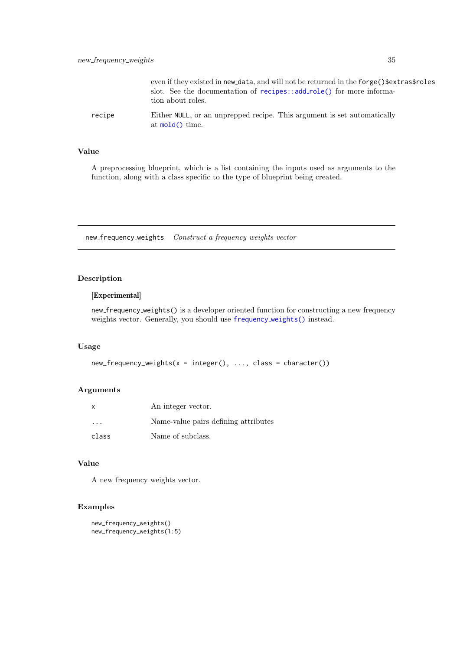<span id="page-34-0"></span>

|        | even if they existed in new_data, and will not be returned in the forge()\$extras\$roles<br>slot. See the documentation of recipes::add_role() for more informa-<br>tion about roles. |
|--------|---------------------------------------------------------------------------------------------------------------------------------------------------------------------------------------|
| recipe | Either NULL, or an unprepped recipe. This argument is set automatically<br>at $mod()$ time.                                                                                           |

### Value

A preprocessing blueprint, which is a list containing the inputs used as arguments to the function, along with a class specific to the type of blueprint being created.

new frequency weights Construct a frequency weights vector

### Description

### [Experimental]

new frequency weights() is a developer oriented function for constructing a new frequency weights vector. Generally, you should use [frequency](#page-17-1) weights() instead.

#### Usage

```
new_frequency_weights(x = integer(), ..., class = character())
```
#### Arguments

| x                       | An integer vector.                   |  |  |  |
|-------------------------|--------------------------------------|--|--|--|
| $\cdot$ $\cdot$ $\cdot$ | Name-value pairs defining attributes |  |  |  |
| class                   | Name of subclass.                    |  |  |  |

### Value

A new frequency weights vector.

### Examples

```
new_frequency_weights()
new_frequency_weights(1:5)
```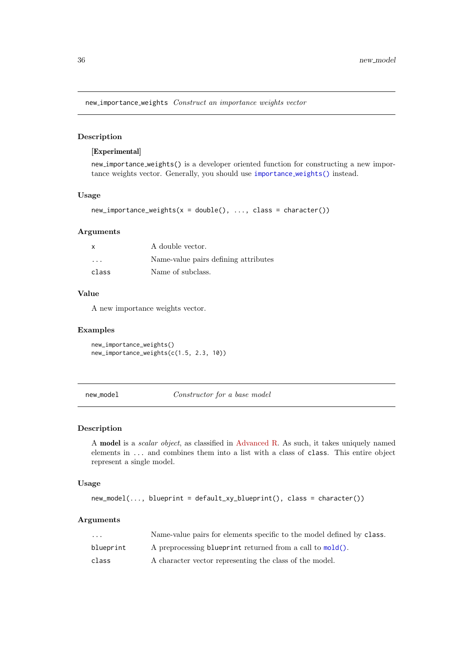<span id="page-35-0"></span>new importance weights Construct an importance weights vector

#### Description

#### [Experimental]

new importance weights() is a developer oriented function for constructing a new importance weights vector. Generally, you should use [importance](#page-21-1) weights() instead.

### Usage

```
new_importance_weights(x = double(), ..., class = character())
```
### Arguments

| $\boldsymbol{\mathsf{x}}$ | A double vector.                     |  |  |  |  |
|---------------------------|--------------------------------------|--|--|--|--|
| $\cdot$ $\cdot$ $\cdot$   | Name-value pairs defining attributes |  |  |  |  |
| class                     | Name of subclass.                    |  |  |  |  |

#### Value

A new importance weights vector.

#### Examples

new\_importance\_weights() new\_importance\_weights(c(1.5, 2.3, 10))

new model Constructor for a base model

#### Description

A model is a scalar object, as classified in [Advanced R.](https://adv-r.hadley.nz/s3.html#object-styles) As such, it takes uniquely named elements in ... and combines them into a list with a class of class. This entire object represent a single model.

#### Usage

```
new_model(..., blueprint = default_xy_blueprint(), class = character())
```
#### Arguments

| $\cdots$  | Name-value pairs for elements specific to the model defined by class. |
|-----------|-----------------------------------------------------------------------|
| blueprint | A preprocessing blueprint returned from a call to mold().             |
| class     | A character vector representing the class of the model.               |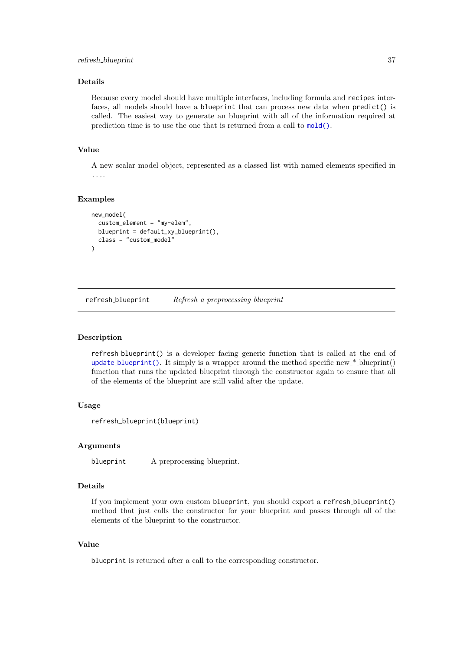#### <span id="page-36-0"></span>Details

Because every model should have multiple interfaces, including formula and recipes interfaces, all models should have a blueprint that can process new data when predict() is called. The easiest way to generate an blueprint with all of the information required at prediction time is to use the one that is returned from a call to [mold\(\)](#page-28-1).

### Value

A new scalar model object, represented as a classed list with named elements specified in ....

### Examples

```
new_model(
  custom_element = "my-elem",
  blueprint = default_x y_blueprint(),
  class = "custom_model"
)
```
refresh\_blueprint Refresh a preprocessing blueprint

#### Description

refresh blueprint() is a developer facing generic function that is called at the end of update [blueprint\(\)](#page-46-1). It simply is a wrapper around the method specific new  $*$ -blueprint() function that runs the updated blueprint through the constructor again to ensure that all of the elements of the blueprint are still valid after the update.

### Usage

refresh\_blueprint(blueprint)

#### Arguments

blueprint A preprocessing blueprint.

### Details

If you implement your own custom blueprint, you should export a refresh blueprint() method that just calls the constructor for your blueprint and passes through all of the elements of the blueprint to the constructor.

### Value

blueprint is returned after a call to the corresponding constructor.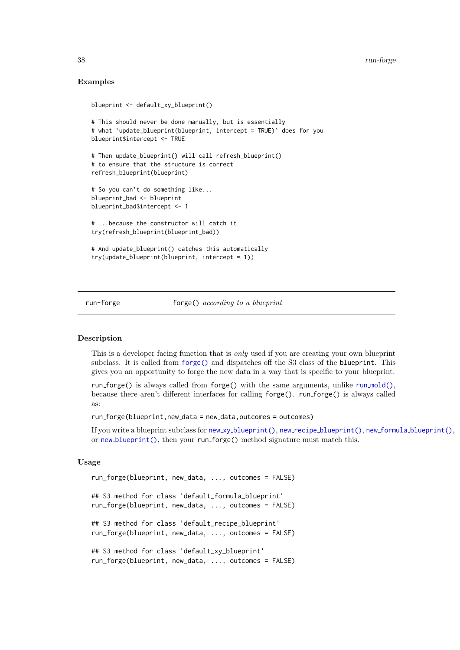#### Examples

```
blueprint <- default_xy_blueprint()
# This should never be done manually, but is essentially
# what `update_blueprint(blueprint, intercept = TRUE)` does for you
blueprint$intercept <- TRUE
# Then update_blueprint() will call refresh_blueprint()
# to ensure that the structure is correct
refresh_blueprint(blueprint)
# So you can't do something like...
blueprint_bad <- blueprint
blueprint_bad$intercept <- 1
# ...because the constructor will catch it
try(refresh_blueprint(blueprint_bad))
# And update_blueprint() catches this automatically
try(update_blueprint(blueprint, intercept = 1))
```

```
run-forge forge() according to a blueprint
```
#### <span id="page-37-1"></span>Description

This is a developer facing function that is only used if you are creating your own blueprint subclass. It is called from [forge\(\)](#page-16-1) and dispatches off the S3 class of the blueprint. This gives you an opportunity to forge the new data in a way that is specific to your blueprint.

run forge() is always called from forge() with the same arguments, unlike run [mold\(\)](#page-38-1), because there aren't different interfaces for calling forge(). run forge() is always called as:

run forge(blueprint,new data = new data,outcomes = outcomes)

If you write a blueprint subclass for new xy [blueprint\(\)](#page-32-1), new recipe [blueprint\(\)](#page-32-1), new formula [blueprint\(\)](#page-32-2), or new [blueprint\(\)](#page-32-1), then your run forge() method signature must match this.

#### Usage

```
run_forge(blueprint, new_data, ..., outcomes = FALSE)
## S3 method for class 'default_formula_blueprint'
run_forge(blueprint, new_data, ..., outcomes = FALSE)
## S3 method for class 'default_recipe_blueprint'
run_forge(blueprint, new_data, ..., outcomes = FALSE)
## S3 method for class 'default_xy_blueprint'
run_forge(blueprint, new_data, ..., outcomes = FALSE)
```
<span id="page-37-0"></span>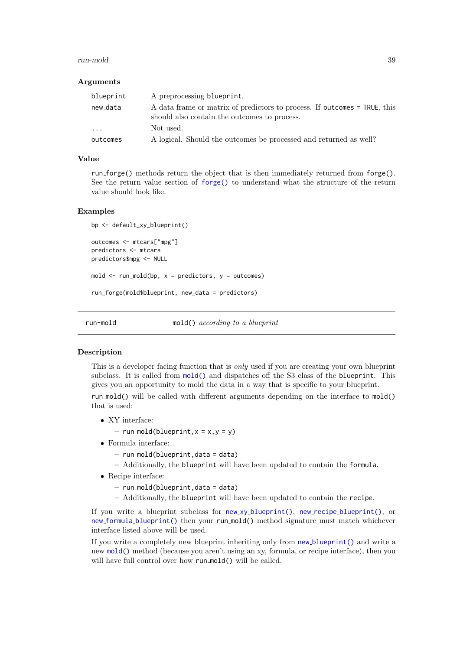#### <span id="page-38-0"></span>run-mold 39

#### Arguments

| blueprint               | A preprocessing blueprint.                                                                                                |
|-------------------------|---------------------------------------------------------------------------------------------------------------------------|
| new_data                | A data frame or matrix of predictors to process. If outcomes = TRUE, this<br>should also contain the outcomes to process. |
| $\cdot$ $\cdot$ $\cdot$ | Not used.                                                                                                                 |
| outcomes                | A logical. Should the outcomes be processed and returned as well?                                                         |

### Value

run forge() methods return the object that is then immediately returned from forge(). See the return value section of [forge\(\)](#page-16-1) to understand what the structure of the return value should look like.

#### Examples

```
bp <- default_xy_blueprint()
outcomes <- mtcars["mpg"]
predictors <- mtcars
predictors$mpg <- NULL
mold \leq run mold(bp, x = predictors, y = outcomes)
run_forge(mold$blueprint, new_data = predictors)
```
run-mold mold() according to a blueprint

#### <span id="page-38-1"></span>Description

This is a developer facing function that is only used if you are creating your own blueprint subclass. It is called from [mold\(\)](#page-28-1) and dispatches off the S3 class of the blueprint. This gives you an opportunity to mold the data in a way that is specific to your blueprint. run mold() will be called with different arguments depending on the interface to  $mod($ that is used:

- XY interface:
	- $-$  run\_mold(blueprint,  $x = x, y = y$ )
- Formula interface:
	- $-$  run\_mold(blueprint,data = data)
	- Additionally, the blueprint will have been updated to contain the formula.
- Recipe interface:
	- $-$  run\_mold(blueprint,data = data)
	- Additionally, the blueprint will have been updated to contain the recipe.

If you write a blueprint subclass for  $new_xy_b\text{lueprint}()$ ,  $new_xrecipe_b\text{lueprint}()$ , or new formula [blueprint\(\)](#page-32-2) then your run mold() method signature must match whichever interface listed above will be used.

If you write a completely new blueprint inheriting only from new [blueprint\(\)](#page-32-1) and write a new [mold\(\)](#page-28-1) method (because you aren't using an xy, formula, or recipe interface), then you will have full control over how run\_mold() will be called.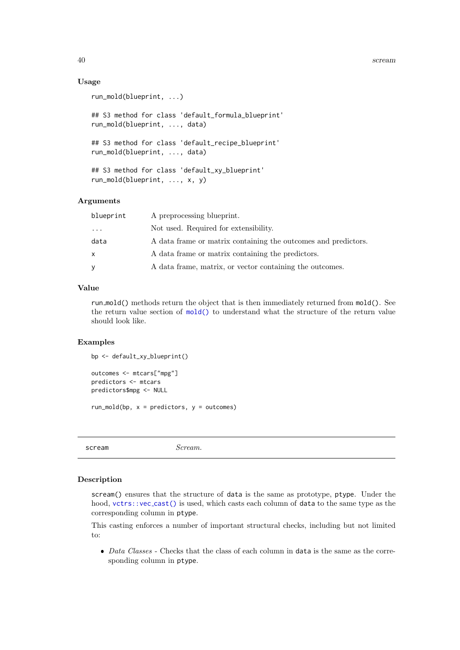#### Usage

```
run_mold(blueprint, ...)
## S3 method for class 'default_formula_blueprint'
run_mold(blueprint, ..., data)
## S3 method for class 'default_recipe_blueprint'
run_mold(blueprint, ..., data)
## S3 method for class 'default_xy_blueprint'
run_mold(blueprint, ..., x, y)
```
### Arguments

| blueprint | A preprocessing blueprint.                                     |
|-----------|----------------------------------------------------------------|
| $\cdots$  | Not used. Required for extensibility.                          |
| data      | A data frame or matrix containing the outcomes and predictors. |
| x         | A data frame or matrix containing the predictors.              |
| У         | A data frame, matrix, or vector containing the outcomes.       |

#### Value

run\_mold() methods return the object that is then immediately returned from mold(). See the return value section of [mold\(\)](#page-28-1) to understand what the structure of the return value should look like.

### Examples

```
bp <- default_xy_blueprint()
```

```
outcomes <- mtcars["mpg"]
predictors <- mtcars
predictors$mpg <- NULL
```
run\_mold(bp,  $x =$  predictors,  $y =$  outcomes)

<span id="page-39-1"></span>scream Scream.

### Description

scream() ensures that the structure of data is the same as prototype, ptype. Under the hood,  $vctrs::vec.cast()$  $vctrs::vec.cast()$  is used, which casts each column of data to the same type as the corresponding column in ptype.

This casting enforces a number of important structural checks, including but not limited to:

 $\bullet$  *Data Classes* - Checks that the class of each column in data is the same as the corresponding column in ptype.

<span id="page-39-0"></span>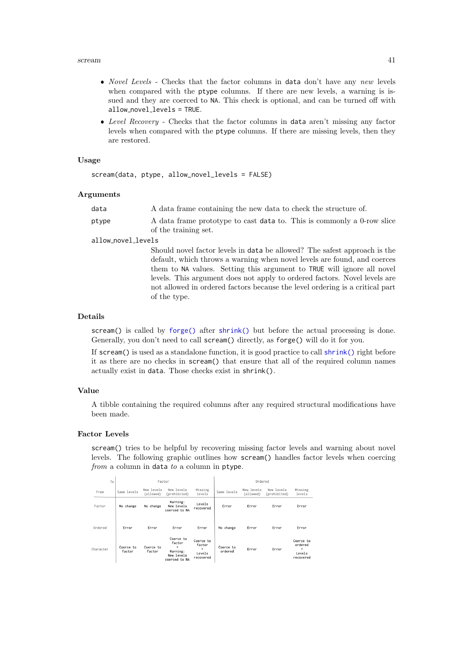#### <span id="page-40-0"></span>scream and the set of the set of the set of the set of the set of the set of the set of the set of the set of the set of the set of the set of the set of the set of the set of the set of the set of the set of the set of th

- Novel Levels Checks that the factor columns in data don't have any new levels when compared with the ptype columns. If there are new levels, a warning is issued and they are coerced to NA. This check is optional, and can be turned off with allow novel levels = TRUE.
- Level Recovery Checks that the factor columns in data aren't missing any factor levels when compared with the ptype columns. If there are missing levels, then they are restored.

#### Usage

```
scream(data, ptype, allow_novel_levels = FALSE)
```
#### Arguments

| data  | A data frame containing the new data to check the structure of.                                |
|-------|------------------------------------------------------------------------------------------------|
| ptype | A data frame prototype to cast data to. This is commonly a 0-row slice<br>of the training set. |

### allow novel levels

Should novel factor levels in data be allowed? The safest approach is the default, which throws a warning when novel levels are found, and coerces them to NA values. Setting this argument to TRUE will ignore all novel levels. This argument does not apply to ordered factors. Novel levels are not allowed in ordered factors because the level ordering is a critical part of the type.

### Details

scream() is called by [forge\(\)](#page-16-1) after [shrink\(\)](#page-42-1) but before the actual processing is done. Generally, you don't need to call scream() directly, as forge() will do it for you.

If scream() is used as a standalone function, it is good practice to call [shrink\(\)](#page-42-1) right before it as there are no checks in scream() that ensure that all of the required column names actually exist in data. Those checks exist in shrink().

#### Value

A tibble containing the required columns after any required structural modifications have been made.

### Factor Levels

scream() tries to be helpful by recovering missing factor levels and warning about novel levels. The following graphic outlines how scream() handles factor levels when coercing from a column in data to a column in ptype.

| To        | Factor              |                         |                                                                     | Ordered                                         |                      |                         |                            |                                                  |
|-----------|---------------------|-------------------------|---------------------------------------------------------------------|-------------------------------------------------|----------------------|-------------------------|----------------------------|--------------------------------------------------|
| From      | Same levels         | New levels<br>(allowed) | New levels<br>(prohibited)                                          | Missing<br>levels                               | Same levels          | New levels<br>(allowed) | New levels<br>(prohibited) | Missing<br>levels                                |
| Factor    | No change           | No change               | Warning:<br>New levels<br>coerced to NA                             | Levels<br>recovered                             | Error                | Error                   | Error                      | Error                                            |
| Ordered   | Error               | Error                   | Error                                                               | Error                                           | No change            | Error                   | Error                      | Error                                            |
| Character | Coerce to<br>factor | Coerce to<br>factor     | Coerce to<br>factor<br>÷<br>Warning:<br>New levels<br>coerced to NA | Coerce to<br>factor<br>÷<br>Levels<br>recovered | Coerce to<br>ordered | Error                   | Error                      | Coerce to<br>ordered<br>÷<br>Levels<br>recovered |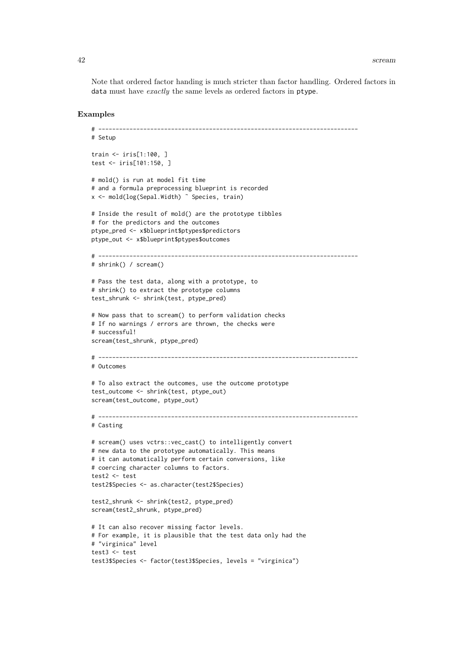Note that ordered factor handing is much stricter than factor handling. Ordered factors in data must have exactly the same levels as ordered factors in ptype.

#### Examples

```
# ---------------------------------------------------------------------------
# Setup
train <- iris[1:100, ]
test <- iris[101:150, ]
# mold() is run at model fit time
# and a formula preprocessing blueprint is recorded
x <- mold(log(Sepal.Width) ˜ Species, train)
# Inside the result of mold() are the prototype tibbles
# for the predictors and the outcomes
ptype_pred <- x$blueprint$ptypes$predictors
ptype_out <- x$blueprint$ptypes$outcomes
# ---------------------------------------------------------------------------
# shrink() / scream()
# Pass the test data, along with a prototype, to
# shrink() to extract the prototype columns
test_shrunk <- shrink(test, ptype_pred)
# Now pass that to scream() to perform validation checks
# If no warnings / errors are thrown, the checks were
# successful!
scream(test_shrunk, ptype_pred)
# ---------------------------------------------------------------------------
# Outcomes
# To also extract the outcomes, use the outcome prototype
test_outcome <- shrink(test, ptype_out)
scream(test_outcome, ptype_out)
# ---------------------------------------------------------------------------
# Casting
# scream() uses vctrs::vec_cast() to intelligently convert
# new data to the prototype automatically. This means
# it can automatically perform certain conversions, like
# coercing character columns to factors.
test2 <- test
test2$Species <- as.character(test2$Species)
test2_shrunk <- shrink(test2, ptype_pred)
scream(test2_shrunk, ptype_pred)
# It can also recover missing factor levels.
# For example, it is plausible that the test data only had the
# "virginica" level
test3 <- test
test3$Species <- factor(test3$Species, levels = "virginica")
```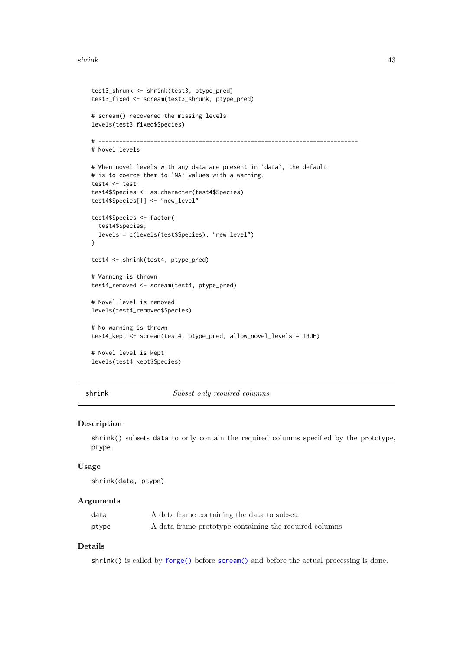#### <span id="page-42-0"></span>shrink the state of the state of the state of the state of the state of the state of the state of the state of the state of the state of the state of the state of the state of the state of the state of the state of the sta

```
test3_shrunk <- shrink(test3, ptype_pred)
test3_fixed <- scream(test3_shrunk, ptype_pred)
# scream() recovered the missing levels
levels(test3_fixed$Species)
# ---------------------------------------------------------------------------
# Novel levels
# When novel levels with any data are present in `data`, the default
# is to coerce them to `NA` values with a warning.
test4 <- test
test4$Species <- as.character(test4$Species)
test4$Species[1] <- "new_level"
test4$Species <- factor(
 test4$Species,
 levels = c(levels(test$Species), "new_level")
\lambdatest4 <- shrink(test4, ptype_pred)
# Warning is thrown
test4_removed <- scream(test4, ptype_pred)
# Novel level is removed
levels(test4_removed$Species)
# No warning is thrown
test4_kept <- scream(test4, ptype_pred, allow_novel_levels = TRUE)
# Novel level is kept
levels(test4_kept$Species)
```
<span id="page-42-1"></span>shrink Subset only required columns

#### Description

shrink() subsets data to only contain the required columns specified by the prototype, ptype.

#### Usage

shrink(data, ptype)

#### Arguments

| data  | A data frame containing the data to subset.             |
|-------|---------------------------------------------------------|
| ptype | A data frame prototype containing the required columns. |

### Details

shrink() is called by [forge\(\)](#page-16-1) before [scream\(\)](#page-39-1) and before the actual processing is done.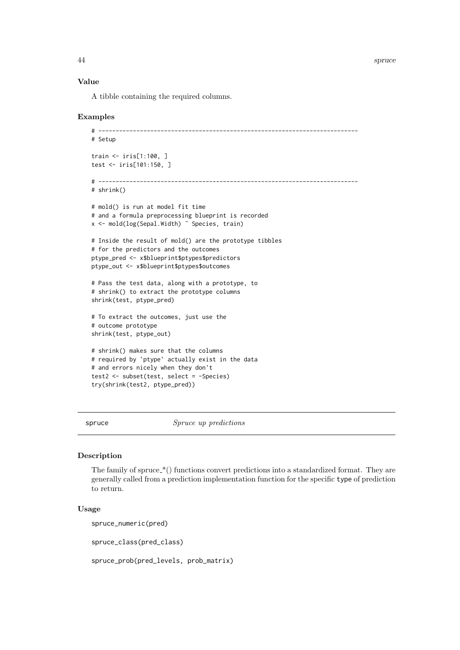### <span id="page-43-0"></span>Value

A tibble containing the required columns.

#### Examples

```
# ---------------------------------------------------------------------------
# Setup
train <- iris[1:100, ]
test <- iris[101:150, ]
# ---------------------------------------------------------------------------
# shrink()
# mold() is run at model fit time
# and a formula preprocessing blueprint is recorded
x <- mold(log(Sepal.Width) ˜ Species, train)
# Inside the result of mold() are the prototype tibbles
# for the predictors and the outcomes
ptype_pred <- x$blueprint$ptypes$predictors
ptype_out <- x$blueprint$ptypes$outcomes
# Pass the test data, along with a prototype, to
# shrink() to extract the prototype columns
shrink(test, ptype_pred)
# To extract the outcomes, just use the
# outcome prototype
shrink(test, ptype_out)
# shrink() makes sure that the columns
# required by `ptype` actually exist in the data
# and errors nicely when they don't
test2 <- subset(test, select = -Species)
try(shrink(test2, ptype_pred))
```
spruce Spruce up predictions

#### <span id="page-43-1"></span>Description

The family of spruce  $\mathcal{N}(t)$  functions convert predictions into a standardized format. They are generally called from a prediction implementation function for the specific type of prediction to return.

#### Usage

spruce\_numeric(pred)

spruce\_class(pred\_class)

spruce\_prob(pred\_levels, prob\_matrix)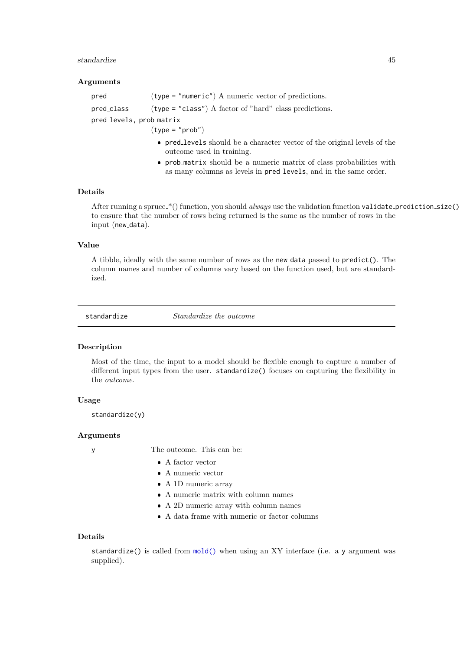#### <span id="page-44-0"></span>standardize 45

#### Arguments

| pred                     | $(type = "numeric")$ A numeric vector of predictions.    |  |
|--------------------------|----------------------------------------------------------|--|
| pred_class               | $(type = "class")$ A factor of "hard" class predictions. |  |
| pred_levels, prob_matrix |                                                          |  |
|                          | $(tvpe = "prob")$                                        |  |

- pred levels should be a character vector of the original levels of the outcome used in training.
- prob matrix should be a numeric matrix of class probabilities with as many columns as levels in pred levels, and in the same order.

### Details

After running a spruce  $*($  function, you should *always* use the validation function validate prediction size() to ensure that the number of rows being returned is the same as the number of rows in the input (new\_data).

### Value

A tibble, ideally with the same number of rows as the new data passed to predict(). The column names and number of columns vary based on the function used, but are standardized.

<span id="page-44-1"></span>standardize Standardize the outcome

### Description

Most of the time, the input to a model should be flexible enough to capture a number of different input types from the user. standardize() focuses on capturing the flexibility in the outcome.

### Usage

standardize(y)

#### Arguments

y The outcome. This can be:

- A factor vector
- A numeric vector
- A 1D numeric array
- A numeric matrix with column names
- A 2D numeric array with column names
- A data frame with numeric or factor columns

#### Details

standardize() is called from [mold\(\)](#page-28-1) when using an XY interface (i.e. a y argument was supplied).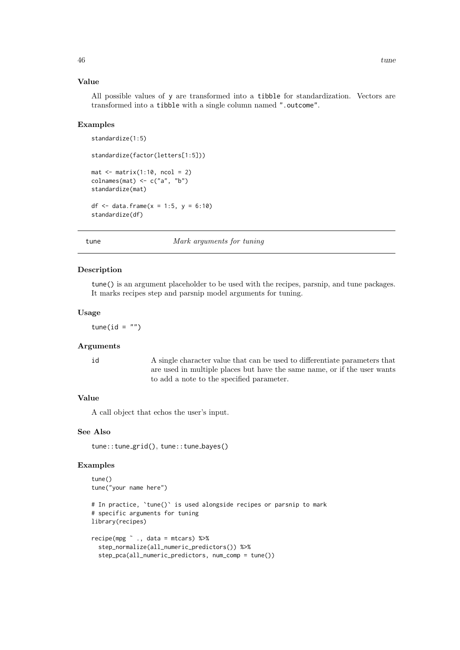### <span id="page-45-0"></span>Value

All possible values of y are transformed into a tibble for standardization. Vectors are transformed into a tibble with a single column named ".outcome".

#### Examples

```
standardize(1:5)
standardize(factor(letters[1:5]))
mat \leq matrix(1:10, ncol = 2)
\text{columns}(\text{mat}) \leftarrow \text{c("a", "b")}standardize(mat)
df <- data.frame(x = 1:5, y = 6:10)
standardize(df)
```
tune Mark arguments for tuning

#### Description

tune() is an argument placeholder to be used with the recipes, parsnip, and tune packages. It marks recipes step and parsnip model arguments for tuning.

#### Usage

tune(id =  $"$ )

#### Arguments

id A single character value that can be used to differentiate parameters that are used in multiple places but have the same name, or if the user wants to add a note to the specified parameter.

#### Value

A call object that echos the user's input.

#### See Also

tune::tune\_grid(), tune::tune\_bayes()

#### Examples

```
tune()
tune("your name here")
# In practice, `tune()` is used alongside recipes or parsnip to mark
# specific arguments for tuning
library(recipes)
recipe(mpg \tilde{C}., data = mtcars) %>%
  step_normalize(all_numeric_predictors()) %>%
  step_pca(all_numeric_predictors, num_comp = tune())
```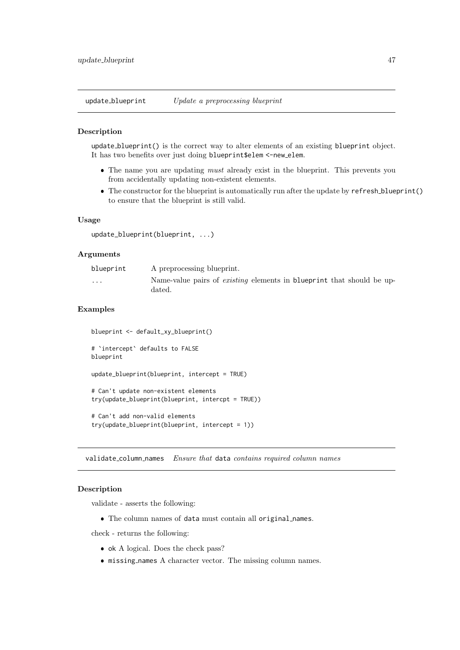<span id="page-46-1"></span><span id="page-46-0"></span>update blueprint Update a preprocessing blueprint

#### Description

update blueprint() is the correct way to alter elements of an existing blueprint object. It has two benefits over just doing blueprint\$elem <-new elem.

- The name you are updating *must* already exist in the blueprint. This prevents you from accidentally updating non-existent elements.
- The constructor for the blueprint is automatically run after the update by refresh blueprint() to ensure that the blueprint is still valid.

#### Usage

```
update_blueprint(blueprint, ...)
```
#### Arguments

| blueprint | A preprocessing blueprint.                                                                    |
|-----------|-----------------------------------------------------------------------------------------------|
| $\cdots$  | Name-value pairs of <i>existing</i> elements in <b>blueprint</b> that should be up-<br>dated. |

#### Examples

```
blueprint <- default_xy_blueprint()
# `intercept` defaults to FALSE
blueprint
update_blueprint(blueprint, intercept = TRUE)
# Can't update non-existent elements
try(update_blueprint(blueprint, intercpt = TRUE))
# Can't add non-valid elements
try(update_blueprint(blueprint, intercept = 1))
```
<span id="page-46-2"></span>validate\_column\_names Ensure that data contains required column names

#### Description

validate - asserts the following:

The column names of data must contain all original names.

check - returns the following:

- $\bullet$  ok A logical. Does the check pass?
- $\bullet$  missing names A character vector. The missing column names.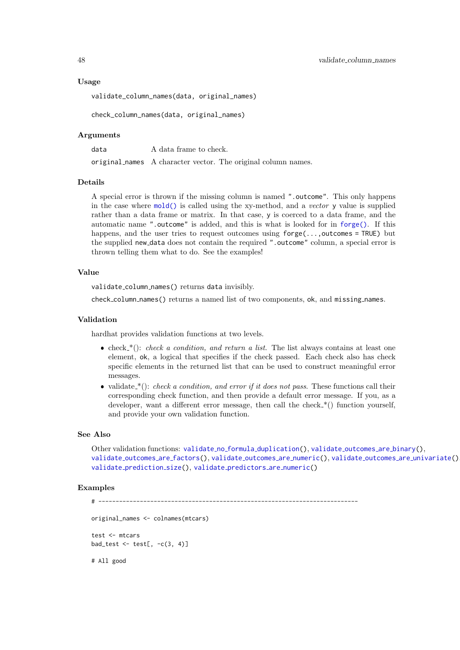<span id="page-47-0"></span>validate\_column\_names(data, original\_names)

check\_column\_names(data, original\_names)

#### Arguments

data A data frame to check. original names A character vector. The original column names.

### Details

A special error is thrown if the missing column is named ". outcome". This only happens in the case where [mold\(\)](#page-28-1) is called using the xy-method, and a vector y value is supplied rather than a data frame or matrix. In that case, y is coerced to a data frame, and the automatic name ".outcome" is added, and this is what is looked for in [forge\(\)](#page-16-1). If this happens, and the user tries to request outcomes using  $\text{forget}(\ldots,\text{outcomes} = \text{TRUE})$  but the supplied new data does not contain the required ".outcome" column, a special error is thrown telling them what to do. See the examples!

#### Value

validate column names() returns data invisibly.

check column names() returns a named list of two components, ok, and missing names.

#### Validation

hardhat provides validation functions at two levels.

- check  $*(\cdot)$ : *check a condition, and return a list*. The list always contains at least one element, ok, a logical that specifies if the check passed. Each check also has check specific elements in the returned list that can be used to construct meaningful error messages.
- validate  $*(\cdot)$ : check a condition, and error if it does not pass. These functions call their corresponding check function, and then provide a default error message. If you, as a developer, want a different error message, then call the check  $*($ ) function yourself, and provide your own validation function.

#### See Also

Other validation functions: validate\_no\_formula\_[duplication\(](#page-48-1)), [validate](#page-50-1)\_outcomes\_are\_binary(), [validate](#page-51-1) outcomes are factors(), [validate](#page-52-1) outcomes are numeric(), validate outcomes are [univariate\(](#page-53-1)), validate\_[prediction](#page-55-1)\_size(), validate\_[predictors](#page-56-1)\_are\_numeric()

#### Examples

```
# ---------------------------------------------------------------------------
original_names <- colnames(mtcars)
test <- mtcars
bad_test \leq test[, -c(3, 4)]
# All good
```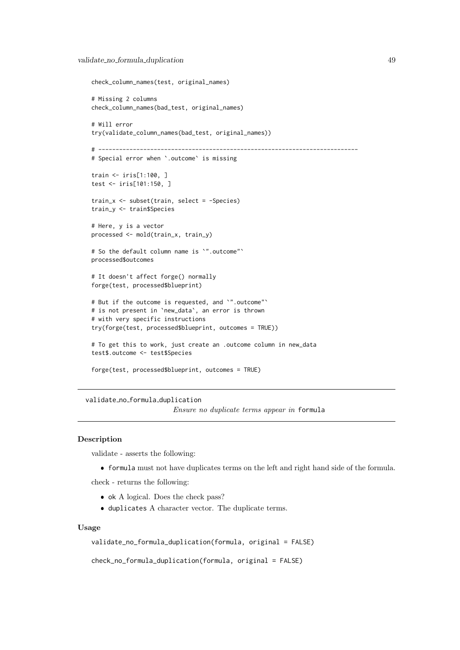```
check_column_names(test, original_names)
# Missing 2 columns
check_column_names(bad_test, original_names)
# Will error
try(validate_column_names(bad_test, original_names))
# ---------------------------------------------------------------------------
# Special error when `.outcome` is missing
train <- iris[1:100, ]
test <- iris[101:150, ]
train_x <- subset(train, select = -Species)
train_y <- train$Species
# Here, y is a vector
processed <- mold(train_x, train_y)
# So the default column name is `".outcome"`
processed$outcomes
# It doesn't affect forge() normally
forge(test, processed$blueprint)
# But if the outcome is requested, and `".outcome"`
# is not present in `new_data`, an error is thrown
# with very specific instructions
try(forge(test, processed$blueprint, outcomes = TRUE))
# To get this to work, just create an .outcome column in new_data
test$.outcome <- test$Species
forge(test, processed$blueprint, outcomes = TRUE)
```
<span id="page-48-1"></span>validate no formula duplication

Ensure no duplicate terms appear in formula

#### Description

validate - asserts the following:

formula must not have duplicates terms on the left and right hand side of the formula.

check - returns the following:

- ok A logical. Does the check pass?
- duplicates A character vector. The duplicate terms.

### Usage

validate\_no\_formula\_duplication(formula, original = FALSE)

check\_no\_formula\_duplication(formula, original = FALSE)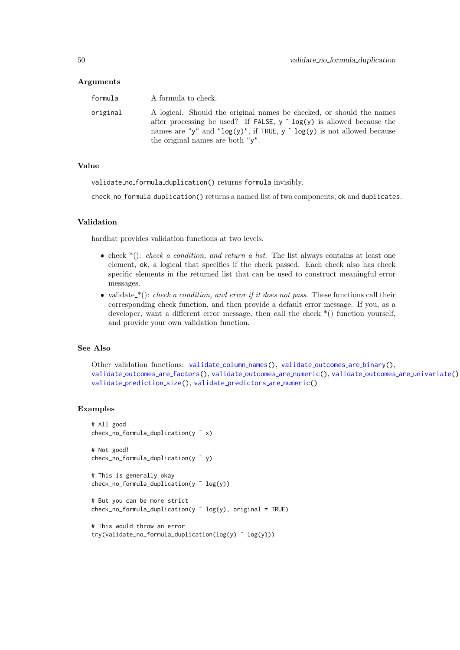#### <span id="page-49-0"></span>Arguments

| formula  | A formula to check.                                                                                                                                                                                                                                                                 |
|----------|-------------------------------------------------------------------------------------------------------------------------------------------------------------------------------------------------------------------------------------------------------------------------------------|
| original | A logical. Should the original names be checked, or should the names<br>after processing be used? If FALSE, $y \uparrow \log(y)$ is allowed because the<br>names are "y" and " $log(y)$ ", if TRUE, y $\degree$ $log(y)$ is not allowed because<br>the original names are both "y". |

### Value

validate no formula duplication() returns formula invisibly.

check no formula duplication() returns a named list of two components, ok and duplicates.

### Validation

hardhat provides validation functions at two levels.

- check  $*(\cdot)$ : check a condition, and return a list. The list always contains at least one element, ok, a logical that specifies if the check passed. Each check also has check specific elements in the returned list that can be used to construct meaningful error messages.
- validate  $*(\cdot)$ : check a condition, and error if it does not pass. These functions call their corresponding check function, and then provide a default error message. If you, as a developer, want a different error message, then call the check  $*($ ) function yourself, and provide your own validation function.

#### See Also

```
validate_column_names(), validate_outcomes_are_binary(),
validate outcomes are factors(), validate outcomes are numeric(), validate outcomes are univariate(),
validate prediction size(), validate predictors are numeric()
```
#### Examples

```
# All good
check_no_formula_duplication(y ˜ x)
# Not good!
check_no_formula_duplication(y ˜ y)
# This is generally okay
check_no_formula_duplication(y ˜ log(y))
# But you can be more strict
check_no_formula_duplication(y \degree log(y), original = TRUE)
# This would throw an error
try(validate_no_formula_duplication(log(y) ˜ log(y)))
```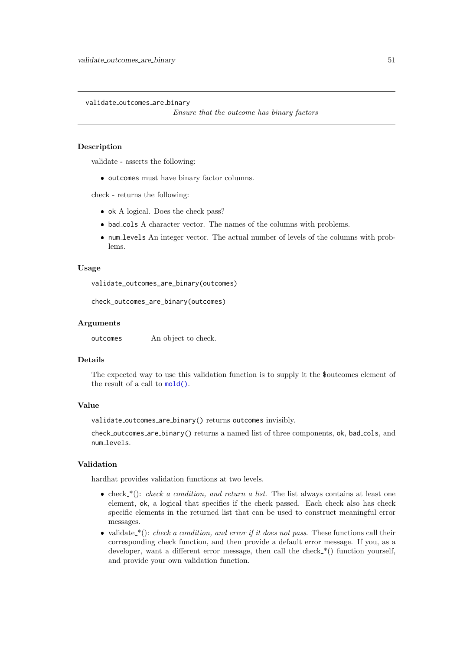<span id="page-50-1"></span><span id="page-50-0"></span>validate outcomes are binary

Ensure that the outcome has binary factors

### Description

validate - asserts the following:

 $\bullet$  outcomes must have binary factor columns.

check - returns the following:

- ok A logical. Does the check pass?
- bad cols A character vector. The names of the columns with problems.
- num levels An integer vector. The actual number of levels of the columns with problems.

#### Usage

validate\_outcomes\_are\_binary(outcomes)

check\_outcomes\_are\_binary(outcomes)

#### Arguments

outcomes An object to check.

#### Details

The expected way to use this validation function is to supply it the \$outcomes element of the result of a call to [mold\(\)](#page-28-1).

#### Value

validate outcomes are binary() returns outcomes invisibly.

check outcomes are binary() returns a named list of three components, ok, bad cols, and num\_levels.

### Validation

hardhat provides validation functions at two levels.

- check  $*(\cdot)$ : check a condition, and return a list. The list always contains at least one element, ok, a logical that specifies if the check passed. Each check also has check specific elements in the returned list that can be used to construct meaningful error messages.
- validate  $*(\cdot)$ : check a condition, and error if it does not pass. These functions call their corresponding check function, and then provide a default error message. If you, as a developer, want a different error message, then call the check  $*($ ) function yourself, and provide your own validation function.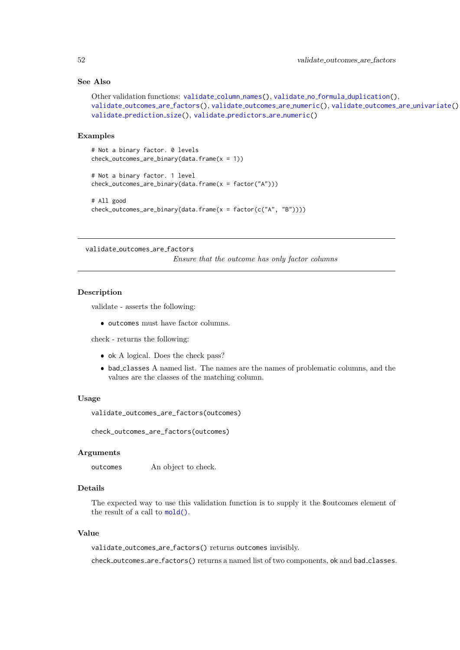### See Also

```
validateduplication(),
validate outcomes are factors(), validate outcomes are numeric(), validate outcomes are univariate(),
validate prediction size(), validate predictors are numeric()
```
#### Examples

```
# Not a binary factor. 0 levels
check_outcomes_are_binary(data-frame(x = 1))# Not a binary factor. 1 level
check_outcomes_are_binary(data.frame(x = factor("A")))
# All good
check_outcomes_are_binary(data.frame(x = factor(c("A", "B"))))
```
<span id="page-51-1"></span>validate outcomes are factors

Ensure that the outcome has only factor columns

#### Description

validate - asserts the following:

 $\bullet$  outcomes must have factor columns.

check - returns the following:

- ok A logical. Does the check pass?
- bad classes A named list. The names are the names of problematic columns, and the values are the classes of the matching column.

#### Usage

```
validate_outcomes_are_factors(outcomes)
```
check\_outcomes\_are\_factors(outcomes)

#### Arguments

outcomes An object to check.

### Details

The expected way to use this validation function is to supply it the \$outcomes element of the result of a call to [mold\(\)](#page-28-1).

#### Value

validate outcomes are factors() returns outcomes invisibly.

check outcomes are factors() returns a named list of two components, ok and bad classes.

<span id="page-51-0"></span>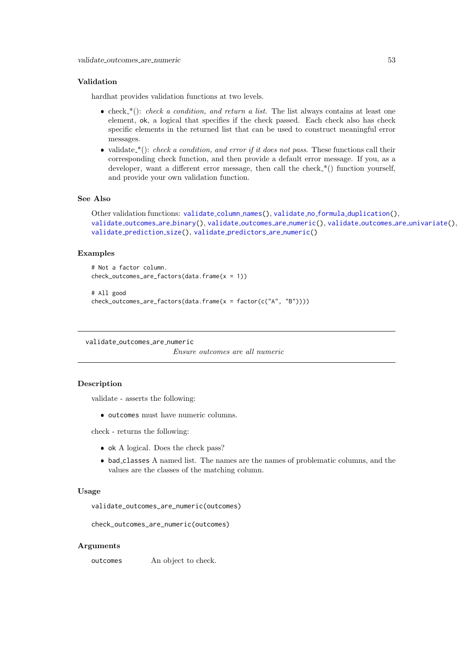#### <span id="page-52-0"></span>Validation

hardhat provides validation functions at two levels.

- check  $*(\cdot)$ : check a condition, and return a list. The list always contains at least one element, ok, a logical that specifies if the check passed. Each check also has check specific elements in the returned list that can be used to construct meaningful error messages.
- validate\_\*(): check a condition, and error if it does not pass. These functions call their corresponding check function, and then provide a default error message. If you, as a developer, want a different error message, then call the check  $*($ ) function yourself, and provide your own validation function.

### See Also

```
validateduplication(),
validate outcomes are binary(), validate outcomes are numeric(), validate outcomes are univariate(),
validate prediction size(), validate predictors are numeric()
```
#### Examples

```
# Not a factor column.
check_outcomes_are_factors(data.frame(x = 1))
# All good
```

```
check_outcomes_are_factors(data.frame(x = factor(c("A", "B"))))
```
<span id="page-52-1"></span>validate outcomes are numeric

Ensure outcomes are all numeric

### Description

validate - asserts the following:

outcomes must have numeric columns.

check - returns the following:

- ok A logical. Does the check pass?
- bad classes A named list. The names are the names of problematic columns, and the values are the classes of the matching column.

#### Usage

validate\_outcomes\_are\_numeric(outcomes)

check\_outcomes\_are\_numeric(outcomes)

#### Arguments

outcomes An object to check.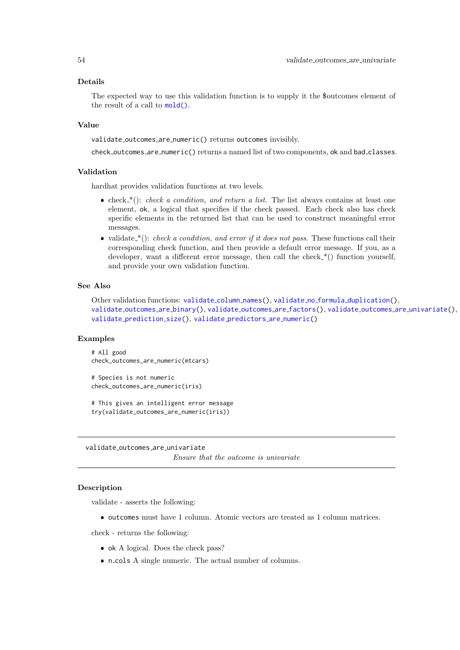#### <span id="page-53-0"></span>Details

The expected way to use this validation function is to supply it the \$outcomes element of the result of a call to [mold\(\)](#page-28-1).

#### Value

validate outcomes are numeric() returns outcomes invisibly.

check\_outcomes\_are\_numeric() returns a named list of two components, ok and bad\_classes.

#### Validation

hardhat provides validation functions at two levels.

- check  $*(\cdot)$ : check a condition, and return a list. The list always contains at least one element, ok, a logical that specifies if the check passed. Each check also has check specific elements in the returned list that can be used to construct meaningful error messages.
- validate  $*(\cdot)$ : check a condition, and error if it does not pass. These functions call their corresponding check function, and then provide a default error message. If you, as a developer, want a different error message, then call the check  $*($ ) function yourself, and provide your own validation function.

### See Also

Other validation functions: [validate](#page-46-2) column names(), validate no formula [duplication\(](#page-48-1)), [validate](#page-50-1) outcomes are binary(), [validate](#page-51-1) outcomes are factors(), validate outcomes are [univariate\(](#page-53-1)), validate [prediction](#page-55-1) size(), validate [predictors](#page-56-1) are numeric()

#### Examples

```
# All good
check_outcomes_are_numeric(mtcars)
```

```
# Species is not numeric
check_outcomes_are_numeric(iris)
```

```
# This gives an intelligent error message
try(validate_outcomes_are_numeric(iris))
```
<span id="page-53-1"></span>validate outcomes are univariate Ensure that the outcome is univariate

#### Description

validate - asserts the following:

 $\bullet$  outcomes must have 1 column. Atomic vectors are treated as 1 column matrices.

check - returns the following:

- ok A logical. Does the check pass?
- n cols A single numeric. The actual number of columns.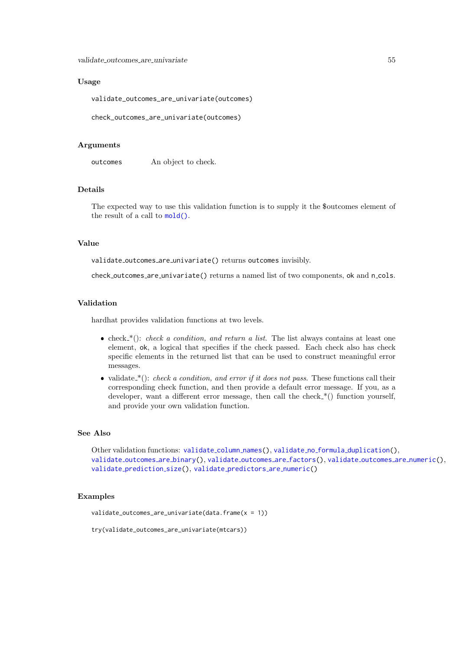<span id="page-54-0"></span>validate\_outcomes\_are\_univariate 55

#### Usage

validate\_outcomes\_are\_univariate(outcomes)

check\_outcomes\_are\_univariate(outcomes)

#### Arguments

outcomes An object to check.

### Details

The expected way to use this validation function is to supply it the \$outcomes element of the result of a call to [mold\(\)](#page-28-1).

### Value

validate outcomes are univariate() returns outcomes invisibly.

check\_outcomes\_are\_univariate() returns a named list of two components, ok and n\_cols.

#### Validation

hardhat provides validation functions at two levels.

- check  $*(\cdot)$ : check a condition, and return a list. The list always contains at least one element, ok, a logical that specifies if the check passed. Each check also has check specific elements in the returned list that can be used to construct meaningful error messages.
- validate  $*(\cdot)$ : check a condition, and error if it does not pass. These functions call their corresponding check function, and then provide a default error message. If you, as a developer, want a different error message, then call the check  $*($ ) function yourself, and provide your own validation function.

#### See Also

Other validation functions: [validate](#page-46-2)\_column\_names(), validate\_no\_formula\_[duplication\(](#page-48-1)), [validate](#page-50-1) outcomes are binary(), [validate](#page-51-1) outcomes are factors(), [validate](#page-52-1) outcomes are numeric(), validate [prediction](#page-55-1) size(), validate [predictors](#page-56-1) are numeric()

#### Examples

validate\_outcomes\_are\_univariate(data.frame( $x = 1$ ))

try(validate\_outcomes\_are\_univariate(mtcars))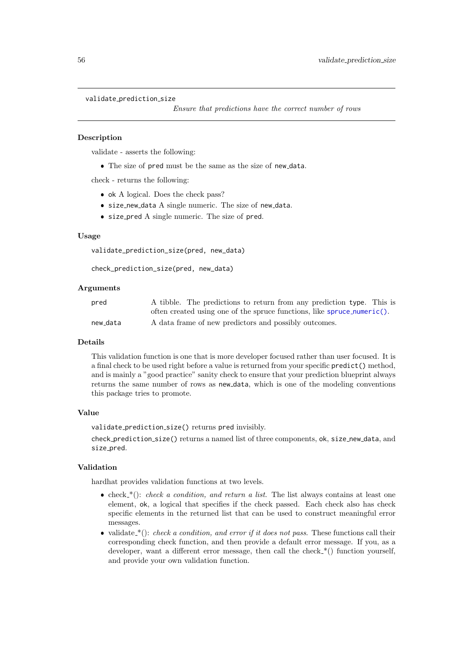#### <span id="page-55-1"></span><span id="page-55-0"></span>validate\_prediction\_size

Ensure that predictions have the correct number of rows

#### Description

validate - asserts the following:

The size of pred must be the same as the size of new data.

check - returns the following:

- ok A logical. Does the check pass?
- size new data A single numeric. The size of new data.
- size pred A single numeric. The size of pred.

### Usage

validate\_prediction\_size(pred, new\_data)

check\_prediction\_size(pred, new\_data)

#### Arguments

| pred     | A tibble. The predictions to return from any prediction type. This is   |
|----------|-------------------------------------------------------------------------|
|          | often created using one of the spruce functions, like spruce numeric(). |
| new_data | A data frame of new predictors and possibly outcomes.                   |

#### Details

This validation function is one that is more developer focused rather than user focused. It is a final check to be used right before a value is returned from your specific predict() method, and is mainly a "good practice" sanity check to ensure that your prediction blueprint always returns the same number of rows as new data, which is one of the modeling conventions this package tries to promote.

#### Value

validate prediction size() returns pred invisibly.

check\_prediction\_size() returns a named list of three components, ok, size\_new\_data, and size\_pred.

#### Validation

hardhat provides validation functions at two levels.

- check  $*(\cdot)$ : check a condition, and return a list. The list always contains at least one element, ok, a logical that specifies if the check passed. Each check also has check specific elements in the returned list that can be used to construct meaningful error messages.
- validate  $*(\cdot)$ : check a condition, and error if it does not pass. These functions call their corresponding check function, and then provide a default error message. If you, as a developer, want a different error message, then call the check  $*($ ) function yourself, and provide your own validation function.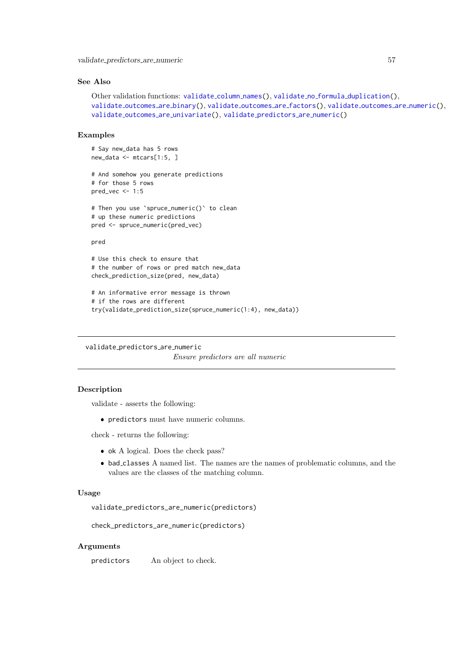<span id="page-56-0"></span>validate\_predictors\_are\_numeric 57

### See Also

```
validateduplication(),
validate outcomes are binary(), validate outcomes are factors(), validate outcomes are numeric(),
validate outcomes are univariate(), validate predictors are numeric()
```
#### Examples

# Say new\_data has 5 rows new\_data <- mtcars[1:5, ]

```
# And somehow you generate predictions
# for those 5 rows
pred_vec \leq -1:5
```

```
# Then you use `spruce_numeric()` to clean
# up these numeric predictions
pred <- spruce_numeric(pred_vec)
```
pred

```
# Use this check to ensure that
# the number of rows or pred match new_data
check_prediction_size(pred, new_data)
```

```
# An informative error message is thrown
# if the rows are different
try(validate_prediction_size(spruce_numeric(1:4), new_data))
```
<span id="page-56-1"></span>validate predictors are numeric

Ensure predictors are all numeric

#### Description

validate - asserts the following:

predictors must have numeric columns.

check - returns the following:

- $\bullet$  ok A logical. Does the check pass?
- bad classes A named list. The names are the names of problematic columns, and the values are the classes of the matching column.

#### Usage

validate\_predictors\_are\_numeric(predictors)

check\_predictors\_are\_numeric(predictors)

### Arguments

predictors An object to check.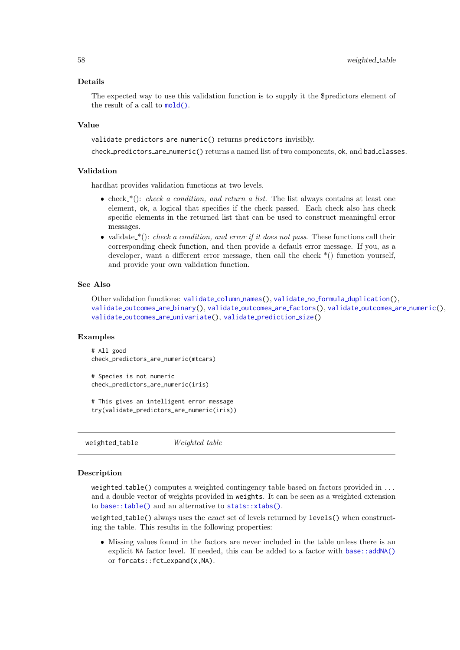#### Details

The expected way to use this validation function is to supply it the \$predictors element of the result of a call to [mold\(\)](#page-28-1).

#### Value

validate predictors are numeric() returns predictors invisibly.

check predictors are numeric() returns a named list of two components, ok, and bad classes.

#### Validation

hardhat provides validation functions at two levels.

- check  $*(\cdot)$ : check a condition, and return a list. The list always contains at least one element, ok, a logical that specifies if the check passed. Each check also has check specific elements in the returned list that can be used to construct meaningful error messages.
- validate  $*(\cdot)$ : check a condition, and error if it does not pass. These functions call their corresponding check function, and then provide a default error message. If you, as a developer, want a different error message, then call the check  $*($ ) function yourself, and provide your own validation function.

### See Also

Other validation functions: [validate](#page-46-2)\_column\_names(), validate\_no\_formula\_[duplication\(](#page-48-1)), validate [outcomes](#page-50-1) are binary(), [validate](#page-51-1) outcomes are factors(), [validate](#page-52-1) outcomes are numeric(), validate outcomes are [univariate\(](#page-53-1)), validate [prediction](#page-55-1) size()

#### Examples

```
# All good
check_predictors_are_numeric(mtcars)
```

```
# Species is not numeric
check_predictors_are_numeric(iris)
```
# This gives an intelligent error message try(validate\_predictors\_are\_numeric(iris))

weighted\_table Weighted table

#### Description

weighted table() computes a weighted contingency table based on factors provided in  $\dots$ and a double vector of weights provided in weights. It can be seen as a weighted extension to [base::table\(\)](#page-0-0) and an alternative to [stats::xtabs\(\)](#page-0-0).

weighted table() always uses the  $exact$  set of levels returned by levels() when constructing the table. This results in the following properties:

 Missing values found in the factors are never included in the table unless there is an explicit NA factor level. If needed, this can be added to a factor with [base::addNA\(\)](#page-0-0) or forcats::fct\_expand(x,NA).

<span id="page-57-0"></span>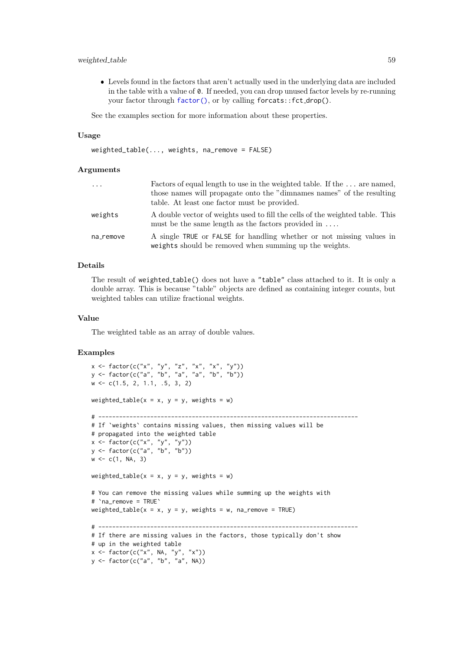#### <span id="page-58-0"></span>weighted table 59

 Levels found in the factors that aren't actually used in the underlying data are included in the table with a value of 0. If needed, you can drop unused factor levels by re-running your factor through [factor\(\)](#page-0-0), or by calling forcats::fct\_drop().

See the examples section for more information about these properties.

#### Usage

```
weighted_table(..., weights, na_remove = FALSE)
```
#### Arguments

| $\cdots$  | Factors of equal length to use in the weighted table. If the  are named,<br>those names will propagate onto the "dimnames names" of the resulting<br>table. At least one factor must be provided. |
|-----------|---------------------------------------------------------------------------------------------------------------------------------------------------------------------------------------------------|
| weights   | A double vector of weights used to fill the cells of the weighted table. This<br>must be the same length as the factors provided in $\dots$                                                       |
| na_remove | A single TRUE or FALSE for handling whether or not missing values in<br>weights should be removed when summing up the weights.                                                                    |

### Details

The result of weighted table() does not have a "table" class attached to it. It is only a double array. This is because "table" objects are defined as containing integer counts, but weighted tables can utilize fractional weights.

#### Value

The weighted table as an array of double values.

#### Examples

```
x \leq factor(c("x", "y", "z", "x", "x", "y"))
y <- factor(c("a", "b", "a", "a", "b", "b"))
w <- c(1.5, 2, 1.1, .5, 3, 2)
weighted_table(x = x, y = y, weights = w)
# ---------------------------------------------------------------------------
# If `weights` contains missing values, then missing values will be
# propagated into the weighted table
x <- factor(c("x", "y", "y"))
y <- factor(c("a", "b", "b"))
w \leftarrow c(1, NA, 3)weighted_table(x = x, y = y, weights = w)
# You can remove the missing values while summing up the weights with
# `na_remove = TRUE`
weighted_table(x = x, y = y, weights = w, na_remove = TRUE)
# ---------------------------------------------------------------------------
# If there are missing values in the factors, those typically don't show
# up in the weighted table
x \leftarrow factor(c("x", NA, "y", "x"))
y <- factor(c("a", "b", "a", NA))
```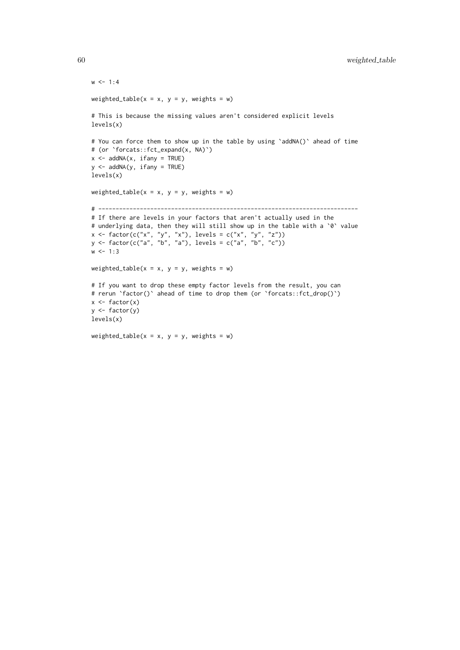```
w < -1:4weighted_table(x = x, y = y, weights = w)
# This is because the missing values aren't considered explicit levels
levels(x)
# You can force them to show up in the table by using `addNA()` ahead of time
# (or `forcats::fct_expand(x, NA)`)
x \le - addNA(x, ifany = TRUE)
y \le - addNA(y, ifany = TRUE)
levels(x)
weighted_table(x = x, y = y, weights = w)
# ---------------------------------------------------------------------------
# If there are levels in your factors that aren't actually used in the
# underlying data, then they will still show up in the table with a `0` value
x <- factor(c("x", "y", "x"), levels = c("x", "y", "z"))
y <- factor(c("a", "b", "a"), levels = c("a", "b", "c"))
w < -1:3weighted_table(x = x, y = y, weights = w)
# If you want to drop these empty factor levels from the result, you can
# rerun `factor()` ahead of time to drop them (or `forcats::fct_drop()`)
x \leftarrow factor(x)y <- factor(y)
levels(x)
```
weighted\_table( $x = x$ ,  $y = y$ , weights = w)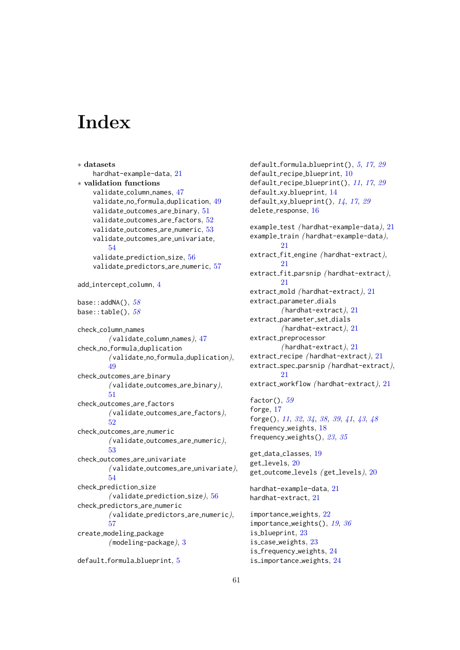# <span id="page-60-0"></span>**Index**

∗ datasets hardhat-example-data, [21](#page-20-0) ∗ validation functions validate\_column\_names, [47](#page-46-0) validate no formula duplication, [49](#page-48-0) validate\_outcomes\_are\_binary, [51](#page-50-0) validate\_outcomes\_are\_factors, [52](#page-51-0) validate outcomes are numeric, [53](#page-52-0) validate outcomes are univariate, [54](#page-53-0) validate\_prediction\_size, [56](#page-55-0) validate\_predictors\_are\_numeric, [57](#page-56-0) add\_intercept\_column, [4](#page-3-0) base::  $addNA()$ ,  $58$ base::table(),  $58$ check column names  $($ validate\_column\_names $), 47$  $), 47$ check no formula duplication ( validate no formula duplication), [49](#page-48-0) check outcomes are binary ( validate outcomes are binary), [51](#page-50-0) check outcomes are factors ( validate outcomes are factors), [52](#page-51-0) check outcomes are numeric  $($ validate\_outcomes\_are\_numeric $),$ [53](#page-52-0) check outcomes are univariate ( validate outcomes are univariate), [54](#page-53-0) check\_prediction\_size  $($ validate\_prediction\_size $)$ , [56](#page-55-0) check predictors are numeric  $($ validate\_predictors\_are\_numeric $),$ [57](#page-56-0) create modeling package  $(modeling$ -package),  $3$ default\_formula\_blueprint, [5](#page-4-0)

default\_formula\_blueprint(),  $5, 17, 29$  $5, 17, 29$  $5, 17, 29$  $5, 17, 29$  $5, 17, 29$ default\_recipe\_blueprint, [10](#page-9-0) default\_recipe\_blueprint(),  $11, 17, 29$  $11, 17, 29$  $11, 17, 29$  $11, 17, 29$  $11, 17, 29$ default\_xy\_blueprint, [14](#page-13-0) default\_xy\_blueprint(),  $14$ ,  $17$ ,  $29$ delete\_response, [16](#page-15-0) example\_test (hardhat-example-data), [21](#page-20-0) example\_train (hardhat-example-data), [21](#page-20-0) extract\_fit\_engine (hardhat-extract), [21](#page-20-0) extract\_fit\_parsnip (hardhat-extract), [21](#page-20-0) extract\_mold (hardhat-extract), [21](#page-20-0) extract\_parameter\_dials ( hardhat-extract), [21](#page-20-0) extract\_parameter\_set\_dials  $(hardhat-extract), 21$  $(hardhat-extract), 21$ extract\_preprocessor  $($ hardhat-extract $), 21$  $), 21$ extract\_recipe (hardhat-extract), [21](#page-20-0) extract\_spec\_parsnip (hardhat-extract), [21](#page-20-0) extract\_workflow (hardhat-extract), [21](#page-20-0) factor $(), 59$  $(), 59$ forge, [17](#page-16-0) forge(), [11](#page-10-0), [32](#page-31-0), [34](#page-33-0), [38,](#page-37-0) [39](#page-38-0), [41](#page-40-0), [43](#page-42-0), [48](#page-47-0) frequency weights, [18](#page-17-0) frequency weights(), [23](#page-22-0), [35](#page-34-0) get data classes, [19](#page-18-0) get levels, [20](#page-19-0) get\_outcome\_levels (get\_levels), [20](#page-19-0) hardhat-example-data, [21](#page-20-0) hardhat-extract, [21](#page-20-0) importance weights, [22](#page-21-0) importance\_weights(), [19](#page-18-0), [36](#page-35-0) is blueprint, [23](#page-22-0) is case weights, [23](#page-22-0) is frequency weights, [24](#page-23-0) is importance weights, [24](#page-23-0)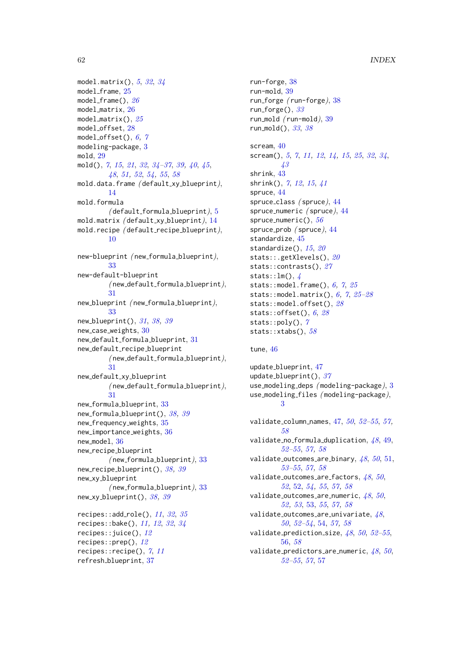```
model.matrix(), 53234model frame, 25
model_frame(), 26model matrix, 26
model_matrix(), 25model offset, 28
model_offset(), 6,7modeling-package, 3
mold, 29
mold(), 7, 15, 21, 32, 34–37, 39, 40, 45,
       48, 51, 52, 54, 55, 58
mold.data.frame (default_xy_blueprint),
       14
mold.formula
        ( default_formula_blueprint)5
mold.matrix ( default xy blueprint), 14
mold.recipe (default_recipe_blueprint),
       10
new-blueprint ( new formula blueprint),
       33
new-default-blueprint
        ( new default formula blueprint),
       31
new blueprint ( new formula blueprint),
       33
new_blueprint(), 3138,3930
new default formula blueprint, 31
new default recipe blueprint
        (new-default_formula_blueprint),
       31
new default xy blueprint
        ( new default formula blueprint),
       31
new formula blueprint, 33
38,39
new frequency weights, 35
36
new model, 36
new recipe blueprint
        (new_{\text{formula\_blueprint}}),33
new recipe blueprint(), 38,39new xy blueprint
        (new_{\text{formula\_blueprint}}),33
38,39
113235recipes::bake(), 11, 12, 32, 34
recipes::juice(), 12
recipes::prep(), 12
recipes::recipe(), 7, 11
```
refresh blueprint, [37](#page-36-0)

```
run-forge, 38
run-mold, 39
run forge ( run-forge), 38
run_forge(), 33run_mold 39run_mold(), 3338scream, 40
5711,1214,15253234,
     43
shrink, 43
shrink(), 7, 12, 15, 41
spruce, 44
44
44
spruce_numeric(), 56spruce prob (spruce), 44standardize, 45
1520
20
27
stats::lm(), \anglestats::6,725stats::model.matrix(), 6,72828
stats::offset(), 628stats::poly(), 7}stats::xtabs(), 58
```
#### tune, [46](#page-45-0)

update blueprint, [47](#page-46-0) update\_blueprint(),  $37$ use modeling deps ( modeling-package), [3](#page-2-0) use modeling files ( modeling-package), [3](#page-2-0)

validate\_column\_names,  $47, 50, 52-55, 57,$  $47, 50, 52-55, 57,$  $47, 50, 52-55, 57,$  $47, 50, 52-55, 57,$  $47, 50, 52-55, 57,$  $47, 50, 52-55, 57,$  $47, 50, 52-55, 57,$ [58](#page-57-0) validate no formula duplication,  $48, 49,$  $48, 49,$  $48, 49,$ [52–](#page-51-0)[55](#page-54-0), [57,](#page-56-0) [58](#page-57-0) validate outcomes are binary,  $48, 50, 51,$  $48, 50, 51,$  $48, 50, 51,$  $48, 50, 51,$  $48, 50, 51,$ [53–](#page-52-0)[55](#page-54-0), [57,](#page-56-0) [58](#page-57-0) validate outcomes are factors,  $48, 50,$  $48, 50,$  $48, 50,$  $48, 50,$ [52](#page-51-0), [52,](#page-51-0) [54,](#page-53-0) [55](#page-54-0), [57,](#page-56-0) [58](#page-57-0) validate outcomes are numeric,  $48, 50,$  $48, 50,$  $48, 50,$  $48, 50,$ [52,](#page-51-0) [53](#page-52-0), [53,](#page-52-0) [55](#page-54-0), [57,](#page-56-0) [58](#page-57-0) validate outcomes are univariate,  $48$ , [50](#page-49-0), [52](#page-51-0)[–54](#page-53-0), [54,](#page-53-0) [57,](#page-56-0) [58](#page-57-0) validate prediction size,  $48, 50, 52-55,$  $48, 50, 52-55,$  $48, 50, 52-55,$  $48, 50, 52-55,$  $48, 50, 52-55,$  $48, 50, 52-55,$ [56,](#page-55-0) [58](#page-57-0) validate predictors are numeric,  $48, 50,$  $48, 50,$  $48, 50,$  $48, 50,$ [52–](#page-51-0)[55](#page-54-0), [57](#page-56-0), [57](#page-56-0)